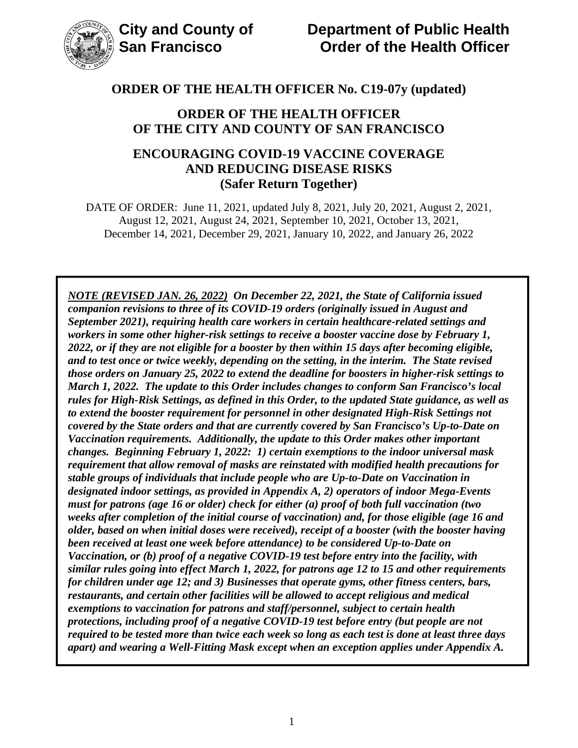

#### **ORDER OF THE HEALTH OFFICER OF THE CITY AND COUNTY OF SAN FRANCISCO**

### **ENCOURAGING COVID-19 VACCINE COVERAGE AND REDUCING DISEASE RISKS (Safer Return Together)**

DATE OF ORDER: June 11, 2021, updated July 8, 2021, July 20, 2021, August 2, 2021, August 12, 2021, August 24, 2021, September 10, 2021, October 13, 2021, December 14, 2021, December 29, 2021, January 10, 2022, and January 26, 2022

*NOTE (REVISED JAN. 26, 2022) On December 22, 2021, the State of California issued companion revisions to three of its COVID-19 orders (originally issued in August and September 2021), requiring health care workers in certain healthcare-related settings and workers in some other higher-risk settings to receive a booster vaccine dose by February 1, 2022, or if they are not eligible for a booster by then within 15 days after becoming eligible, and to test once or twice weekly, depending on the setting, in the interim. The State revised those orders on January 25, 2022 to extend the deadline for boosters in higher-risk settings to March 1, 2022. The update to this Order includes changes to conform San Francisco's local rules for High-Risk Settings, as defined in this Order, to the updated State guidance, as well as to extend the booster requirement for personnel in other designated High-Risk Settings not covered by the State orders and that are currently covered by San Francisco's Up-to-Date on Vaccination requirements. Additionally, the update to this Order makes other important changes. Beginning February 1, 2022: 1) certain exemptions to the indoor universal mask requirement that allow removal of masks are reinstated with modified health precautions for stable groups of individuals that include people who are Up-to-Date on Vaccination in designated indoor settings, as provided in Appendix A, 2) operators of indoor Mega-Events must for patrons (age 16 or older) check for either (a) proof of both full vaccination (two weeks after completion of the initial course of vaccination) and, for those eligible (age 16 and older, based on when initial doses were received), receipt of a booster (with the booster having been received at least one week before attendance) to be considered Up-to-Date on Vaccination, or (b) proof of a negative COVID-19 test before entry into the facility, with similar rules going into effect March 1, 2022, for patrons age 12 to 15 and other requirements for children under age 12; and 3) Businesses that operate gyms, other fitness centers, bars, restaurants, and certain other facilities will be allowed to accept religious and medical exemptions to vaccination for patrons and staff/personnel, subject to certain health protections, including proof of a negative COVID-19 test before entry (but people are not required to be tested more than twice each week so long as each test is done at least three days apart) and wearing a Well-Fitting Mask except when an exception applies under Appendix A.*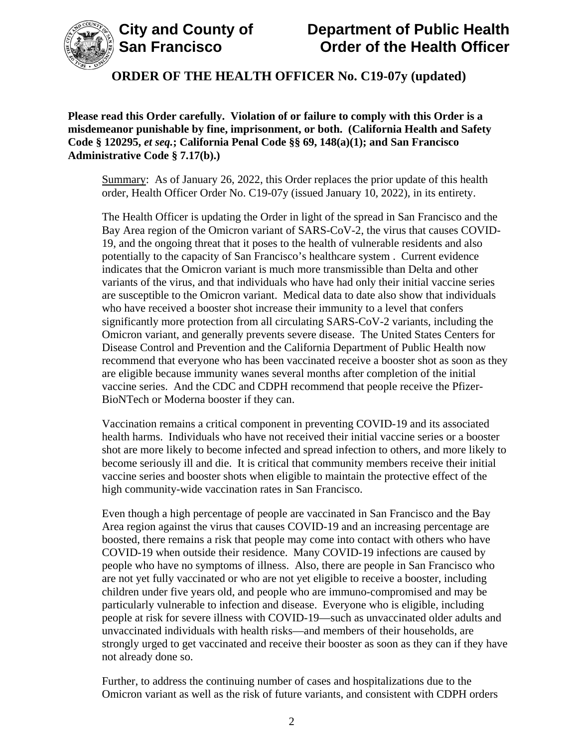

**Please read this Order carefully. Violation of or failure to comply with this Order is a misdemeanor punishable by fine, imprisonment, or both. (California Health and Safety Code § 120295,** *et seq.***; California Penal Code §§ 69, 148(a)(1); and San Francisco Administrative Code § 7.17(b).)**

Summary: As of January 26, 2022, this Order replaces the prior update of this health order, Health Officer Order No. C19-07y (issued January 10, 2022), in its entirety.

The Health Officer is updating the Order in light of the spread in San Francisco and the Bay Area region of the Omicron variant of SARS-CoV-2, the virus that causes COVID-19, and the ongoing threat that it poses to the health of vulnerable residents and also potentially to the capacity of San Francisco's healthcare system . Current evidence indicates that the Omicron variant is much more transmissible than Delta and other variants of the virus, and that individuals who have had only their initial vaccine series are susceptible to the Omicron variant. Medical data to date also show that individuals who have received a booster shot increase their immunity to a level that confers significantly more protection from all circulating SARS-CoV-2 variants, including the Omicron variant, and generally prevents severe disease. The United States Centers for Disease Control and Prevention and the California Department of Public Health now recommend that everyone who has been vaccinated receive a booster shot as soon as they are eligible because immunity wanes several months after completion of the initial vaccine series. And the CDC and CDPH recommend that people receive the Pfizer-BioNTech or Moderna booster if they can.

Vaccination remains a critical component in preventing COVID-19 and its associated health harms. Individuals who have not received their initial vaccine series or a booster shot are more likely to become infected and spread infection to others, and more likely to become seriously ill and die. It is critical that community members receive their initial vaccine series and booster shots when eligible to maintain the protective effect of the high community-wide vaccination rates in San Francisco.

Even though a high percentage of people are vaccinated in San Francisco and the Bay Area region against the virus that causes COVID-19 and an increasing percentage are boosted, there remains a risk that people may come into contact with others who have COVID-19 when outside their residence. Many COVID-19 infections are caused by people who have no symptoms of illness. Also, there are people in San Francisco who are not yet fully vaccinated or who are not yet eligible to receive a booster, including children under five years old, and people who are immuno-compromised and may be particularly vulnerable to infection and disease. Everyone who is eligible, including people at risk for severe illness with COVID-19—such as unvaccinated older adults and unvaccinated individuals with health risks—and members of their households, are strongly urged to get vaccinated and receive their booster as soon as they can if they have not already done so.

Further, to address the continuing number of cases and hospitalizations due to the Omicron variant as well as the risk of future variants, and consistent with CDPH orders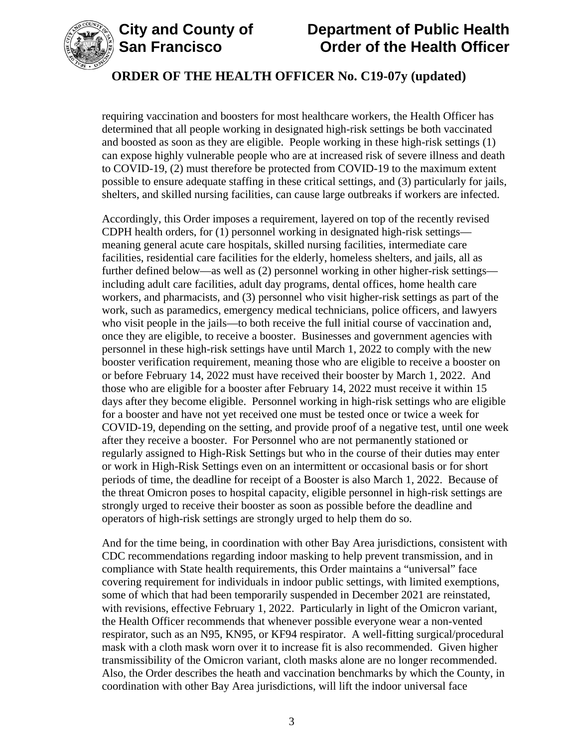

# **City and County of Department of Public Health Order of the Health Officer**

### **ORDER OF THE HEALTH OFFICER No. C19-07y (updated)**

requiring vaccination and boosters for most healthcare workers, the Health Officer has determined that all people working in designated high-risk settings be both vaccinated and boosted as soon as they are eligible. People working in these high-risk settings (1) can expose highly vulnerable people who are at increased risk of severe illness and death to COVID-19, (2) must therefore be protected from COVID-19 to the maximum extent possible to ensure adequate staffing in these critical settings, and (3) particularly for jails, shelters, and skilled nursing facilities, can cause large outbreaks if workers are infected.

Accordingly, this Order imposes a requirement, layered on top of the recently revised CDPH health orders, for (1) personnel working in designated high-risk settings meaning general acute care hospitals, skilled nursing facilities, intermediate care facilities, residential care facilities for the elderly, homeless shelters, and jails, all as further defined below—as well as (2) personnel working in other higher-risk settings including adult care facilities, adult day programs, dental offices, home health care workers, and pharmacists, and (3) personnel who visit higher-risk settings as part of the work, such as paramedics, emergency medical technicians, police officers, and lawyers who visit people in the jails—to both receive the full initial course of vaccination and, once they are eligible, to receive a booster. Businesses and government agencies with personnel in these high-risk settings have until March 1, 2022 to comply with the new booster verification requirement, meaning those who are eligible to receive a booster on or before February 14, 2022 must have received their booster by March 1, 2022. And those who are eligible for a booster after February 14, 2022 must receive it within 15 days after they become eligible. Personnel working in high-risk settings who are eligible for a booster and have not yet received one must be tested once or twice a week for COVID-19, depending on the setting, and provide proof of a negative test, until one week after they receive a booster. For Personnel who are not permanently stationed or regularly assigned to High-Risk Settings but who in the course of their duties may enter or work in High-Risk Settings even on an intermittent or occasional basis or for short periods of time, the deadline for receipt of a Booster is also March 1, 2022. Because of the threat Omicron poses to hospital capacity, eligible personnel in high-risk settings are strongly urged to receive their booster as soon as possible before the deadline and operators of high-risk settings are strongly urged to help them do so.

And for the time being, in coordination with other Bay Area jurisdictions, consistent with CDC recommendations regarding indoor masking to help prevent transmission, and in compliance with State health requirements, this Order maintains a "universal" face covering requirement for individuals in indoor public settings, with limited exemptions, some of which that had been temporarily suspended in December 2021 are reinstated, with revisions, effective February 1, 2022. Particularly in light of the Omicron variant, the Health Officer recommends that whenever possible everyone wear a non-vented respirator, such as an N95, KN95, or KF94 respirator. A well-fitting surgical/procedural mask with a cloth mask worn over it to increase fit is also recommended. Given higher transmissibility of the Omicron variant, cloth masks alone are no longer recommended. Also, the Order describes the heath and vaccination benchmarks by which the County, in coordination with other Bay Area jurisdictions, will lift the indoor universal face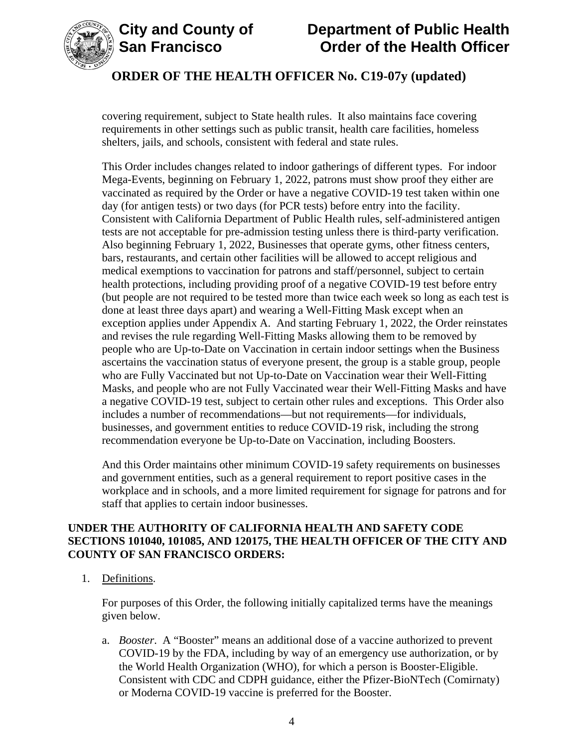



covering requirement, subject to State health rules. It also maintains face covering requirements in other settings such as public transit, health care facilities, homeless shelters, jails, and schools, consistent with federal and state rules.

This Order includes changes related to indoor gatherings of different types. For indoor Mega-Events, beginning on February 1, 2022, patrons must show proof they either are vaccinated as required by the Order or have a negative COVID-19 test taken within one day (for antigen tests) or two days (for PCR tests) before entry into the facility. Consistent with California Department of Public Health rules, self-administered antigen tests are not acceptable for pre-admission testing unless there is third-party verification. Also beginning February 1, 2022, Businesses that operate gyms, other fitness centers, bars, restaurants, and certain other facilities will be allowed to accept religious and medical exemptions to vaccination for patrons and staff/personnel, subject to certain health protections, including providing proof of a negative COVID-19 test before entry (but people are not required to be tested more than twice each week so long as each test is done at least three days apart) and wearing a Well-Fitting Mask except when an exception applies under Appendix A. And starting February 1, 2022, the Order reinstates and revises the rule regarding Well-Fitting Masks allowing them to be removed by people who are Up-to-Date on Vaccination in certain indoor settings when the Business ascertains the vaccination status of everyone present, the group is a stable group, people who are Fully Vaccinated but not Up-to-Date on Vaccination wear their Well-Fitting Masks, and people who are not Fully Vaccinated wear their Well-Fitting Masks and have a negative COVID-19 test, subject to certain other rules and exceptions. This Order also includes a number of recommendations—but not requirements—for individuals, businesses, and government entities to reduce COVID-19 risk, including the strong recommendation everyone be Up-to-Date on Vaccination, including Boosters.

And this Order maintains other minimum COVID-19 safety requirements on businesses and government entities, such as a general requirement to report positive cases in the workplace and in schools, and a more limited requirement for signage for patrons and for staff that applies to certain indoor businesses.

#### **UNDER THE AUTHORITY OF CALIFORNIA HEALTH AND SAFETY CODE SECTIONS 101040, 101085, AND 120175, THE HEALTH OFFICER OF THE CITY AND COUNTY OF SAN FRANCISCO ORDERS:**

1. Definitions.

For purposes of this Order, the following initially capitalized terms have the meanings given below.

a. *Booster*. A "Booster" means an additional dose of a vaccine authorized to prevent COVID-19 by the FDA, including by way of an emergency use authorization, or by the World Health Organization (WHO), for which a person is Booster-Eligible. Consistent with CDC and CDPH guidance, either the Pfizer-BioNTech (Comirnaty) or Moderna COVID-19 vaccine is preferred for the Booster.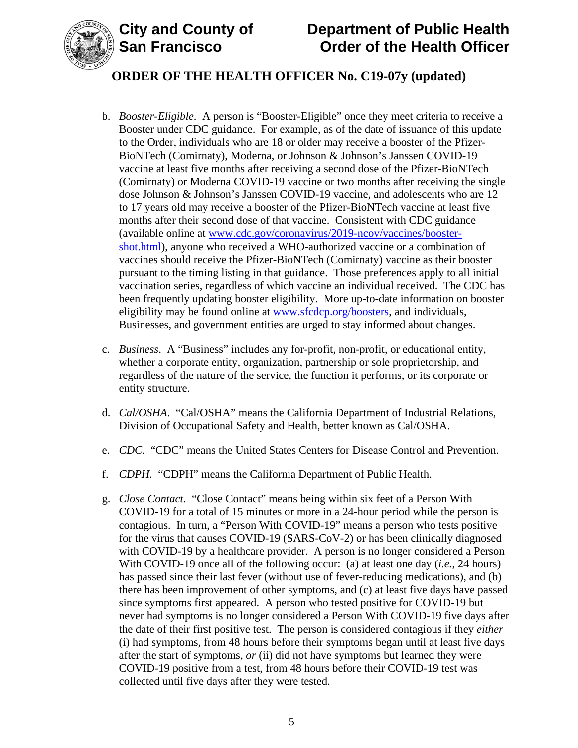

# **City and County of Department of Public Health Order of the Health Officer**

# **ORDER OF THE HEALTH OFFICER No. C19-07y (updated)**

- b. *Booster-Eligible*. A person is "Booster-Eligible" once they meet criteria to receive a Booster under CDC guidance. For example, as of the date of issuance of this update to the Order, individuals who are 18 or older may receive a booster of the Pfizer-BioNTech (Comirnaty), Moderna, or Johnson & Johnson's Janssen COVID-19 vaccine at least five months after receiving a second dose of the Pfizer-BioNTech (Comirnaty) or Moderna COVID-19 vaccine or two months after receiving the single dose Johnson & Johnson's Janssen COVID-19 vaccine, and adolescents who are 12 to 17 years old may receive a booster of the Pfizer-BioNTech vaccine at least five months after their second dose of that vaccine. Consistent with CDC guidance (available online at [www.cdc.gov/coronavirus/2019-ncov/vaccines/booster](https://www.cdc.gov/coronavirus/2019-ncov/vaccines/booster-shot.html)[shot.html\)](https://www.cdc.gov/coronavirus/2019-ncov/vaccines/booster-shot.html), anyone who received a WHO-authorized vaccine or a combination of vaccines should receive the Pfizer-BioNTech (Comirnaty) vaccine as their booster pursuant to the timing listing in that guidance. Those preferences apply to all initial vaccination series, regardless of which vaccine an individual received. The CDC has been frequently updating booster eligibility. More up-to-date information on booster eligibility may be found online at [www.sfcdcp.org/boosters,](https://www.sfcdcp.org/boosters) and individuals, Businesses, and government entities are urged to stay informed about changes.
- c. *Business*. A "Business" includes any for-profit, non-profit, or educational entity, whether a corporate entity, organization, partnership or sole proprietorship, and regardless of the nature of the service, the function it performs, or its corporate or entity structure.
- d. *Cal/OSHA*. "Cal/OSHA" means the California Department of Industrial Relations, Division of Occupational Safety and Health, better known as Cal/OSHA.
- e. *CDC*. "CDC" means the United States Centers for Disease Control and Prevention.
- f. *CDPH.* "CDPH" means the California Department of Public Health.
- g. *Close Contact*. "Close Contact" means being within six feet of a Person With COVID-19 for a total of 15 minutes or more in a 24-hour period while the person is contagious. In turn, a "Person With COVID-19" means a person who tests positive for the virus that causes COVID-19 (SARS-CoV-2) or has been clinically diagnosed with COVID-19 by a healthcare provider. A person is no longer considered a Person With COVID-19 once all of the following occur: (a) at least one day (*i.e.*, 24 hours) has passed since their last fever (without use of fever-reducing medications), and (b) there has been improvement of other symptoms, and (c) at least five days have passed since symptoms first appeared. A person who tested positive for COVID-19 but never had symptoms is no longer considered a Person With COVID-19 five days after the date of their first positive test. The person is considered contagious if they *either* (i) had symptoms, from 48 hours before their symptoms began until at least five days after the start of symptoms, *or* (ii) did not have symptoms but learned they were COVID-19 positive from a test, from 48 hours before their COVID-19 test was collected until five days after they were tested.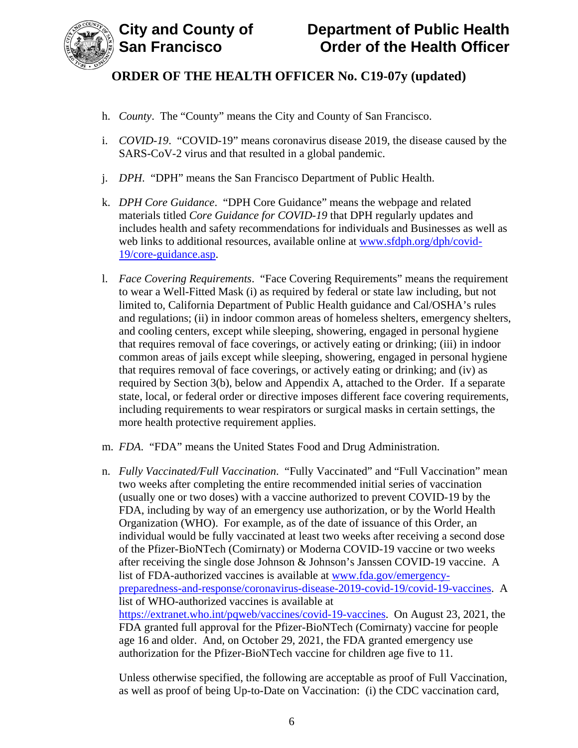

- h. *County*. The "County" means the City and County of San Francisco.
- i. *COVID-19*. "COVID-19" means coronavirus disease 2019, the disease caused by the SARS-CoV-2 virus and that resulted in a global pandemic.
- j. *DPH*. "DPH" means the San Francisco Department of Public Health.
- k. *DPH Core Guidance*. "DPH Core Guidance" means the webpage and related materials titled *Core Guidance for COVID-19* that DPH regularly updates and includes health and safety recommendations for individuals and Businesses as well as web links to additional resources, available online at [www.sfdph.org/dph/covid-](https://www.sfdph.org/dph/covid-19/core-guidance.asp)[19/core-guidance.asp.](https://www.sfdph.org/dph/covid-19/core-guidance.asp)
- l. *Face Covering Requirements*. "Face Covering Requirements" means the requirement to wear a Well-Fitted Mask (i) as required by federal or state law including, but not limited to, California Department of Public Health guidance and Cal/OSHA's rules and regulations; (ii) in indoor common areas of homeless shelters, emergency shelters, and cooling centers, except while sleeping, showering, engaged in personal hygiene that requires removal of face coverings, or actively eating or drinking; (iii) in indoor common areas of jails except while sleeping, showering, engaged in personal hygiene that requires removal of face coverings, or actively eating or drinking; and (iv) as required by Section 3(b), below and Appendix A, attached to the Order. If a separate state, local, or federal order or directive imposes different face covering requirements, including requirements to wear respirators or surgical masks in certain settings, the more health protective requirement applies.
- m. *FDA*. "FDA" means the United States Food and Drug Administration.
- n. *Fully Vaccinated/Full Vaccination*. "Fully Vaccinated" and "Full Vaccination" mean two weeks after completing the entire recommended initial series of vaccination (usually one or two doses) with a vaccine authorized to prevent COVID-19 by the FDA, including by way of an emergency use authorization, or by the World Health Organization (WHO). For example, as of the date of issuance of this Order, an individual would be fully vaccinated at least two weeks after receiving a second dose of the Pfizer-BioNTech (Comirnaty) or Moderna COVID-19 vaccine or two weeks after receiving the single dose Johnson & Johnson's Janssen COVID-19 vaccine. A list of FDA-authorized vaccines is available at [www.fda.gov/emergency](https://www.fda.gov/emergency-preparedness-and-response/coronavirus-disease-2019-covid-19/covid-19-vaccines)[preparedness-and-response/coronavirus-disease-2019-covid-19/covid-19-vaccines.](https://www.fda.gov/emergency-preparedness-and-response/coronavirus-disease-2019-covid-19/covid-19-vaccines) A list of WHO-authorized vaccines is available at [https://extranet.who.int/pqweb/vaccines/covid-19-vaccines.](https://extranet.who.int/pqweb/vaccines/covid-19-vaccines) On August 23, 2021, the FDA granted full approval for the Pfizer-BioNTech (Comirnaty) vaccine for people age 16 and older. And, on October 29, 2021, the FDA granted emergency use authorization for the Pfizer-BioNTech vaccine for children age five to 11.

Unless otherwise specified, the following are acceptable as proof of Full Vaccination, as well as proof of being Up-to-Date on Vaccination: (i) the CDC vaccination card,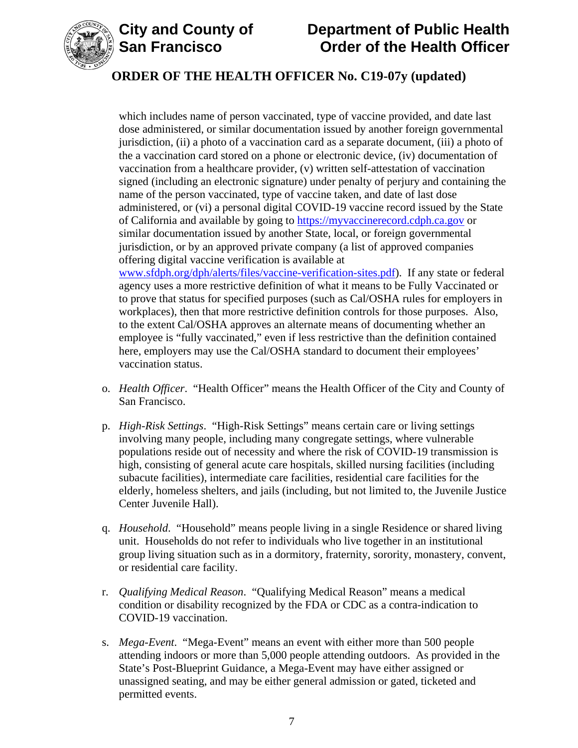

# **City and County of Department of Public Health Order of the Health Officer**

# **ORDER OF THE HEALTH OFFICER No. C19-07y (updated)**

which includes name of person vaccinated, type of vaccine provided, and date last dose administered, or similar documentation issued by another foreign governmental jurisdiction, (ii) a photo of a vaccination card as a separate document, (iii) a photo of the a vaccination card stored on a phone or electronic device, (iv) documentation of vaccination from a healthcare provider, (v) written self-attestation of vaccination signed (including an electronic signature) under penalty of perjury and containing the name of the person vaccinated, type of vaccine taken, and date of last dose administered, or (vi) a personal digital COVID-19 vaccine record issued by the State of California and available by going to [https://myvaccinerecord.cdph.ca.gov](https://myvaccinerecord.cdph.ca.gov/) or similar documentation issued by another State, local, or foreign governmental jurisdiction, or by an approved private company (a list of approved companies offering digital vaccine verification is available at [www.sfdph.org/dph/alerts/files/vaccine-verification-sites.pdf\)](https://www.sfdph.org/dph/alerts/files/vaccine-verification-sites.pdf). If any state or federal agency uses a more restrictive definition of what it means to be Fully Vaccinated or to prove that status for specified purposes (such as Cal/OSHA rules for employers in workplaces), then that more restrictive definition controls for those purposes. Also,

to the extent Cal/OSHA approves an alternate means of documenting whether an employee is "fully vaccinated," even if less restrictive than the definition contained here, employers may use the Cal/OSHA standard to document their employees' vaccination status.

- o. *Health Officer*. "Health Officer" means the Health Officer of the City and County of San Francisco.
- p. *High-Risk Settings*. "High-Risk Settings" means certain care or living settings involving many people, including many congregate settings, where vulnerable populations reside out of necessity and where the risk of COVID-19 transmission is high, consisting of general acute care hospitals, skilled nursing facilities (including subacute facilities), intermediate care facilities, residential care facilities for the elderly, homeless shelters, and jails (including, but not limited to, the Juvenile Justice Center Juvenile Hall).
- q. *Household*. "Household" means people living in a single Residence or shared living unit. Households do not refer to individuals who live together in an institutional group living situation such as in a dormitory, fraternity, sorority, monastery, convent, or residential care facility.
- r. *Qualifying Medical Reason*. "Qualifying Medical Reason" means a medical condition or disability recognized by the FDA or CDC as a contra-indication to COVID-19 vaccination.
- s. *Mega-Event*. "Mega-Event" means an event with either more than 500 people attending indoors or more than 5,000 people attending outdoors. As provided in the State's Post-Blueprint Guidance, a Mega-Event may have either assigned or unassigned seating, and may be either general admission or gated, ticketed and permitted events.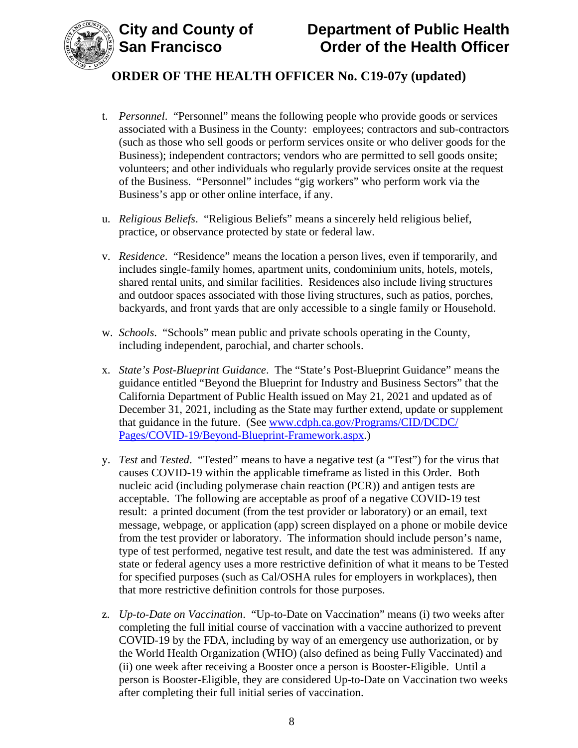



- t. *Personnel*."Personnel" means the following people who provide goods or services associated with a Business in the County: employees; contractors and sub-contractors (such as those who sell goods or perform services onsite or who deliver goods for the Business); independent contractors; vendors who are permitted to sell goods onsite; volunteers; and other individuals who regularly provide services onsite at the request of the Business. "Personnel" includes "gig workers" who perform work via the Business's app or other online interface, if any.
- u. *Religious Beliefs*. "Religious Beliefs" means a sincerely held religious belief, practice, or observance protected by state or federal law.
- v. *Residence*. "Residence" means the location a person lives, even if temporarily, and includes single-family homes, apartment units, condominium units, hotels, motels, shared rental units, and similar facilities. Residences also include living structures and outdoor spaces associated with those living structures, such as patios, porches, backyards, and front yards that are only accessible to a single family or Household.
- w. *Schools*. "Schools" mean public and private schools operating in the County, including independent, parochial, and charter schools.
- x. *State's Post-Blueprint Guidance*. The "State's Post-Blueprint Guidance" means the guidance entitled "Beyond the Blueprint for Industry and Business Sectors" that the California Department of Public Health issued on May 21, 2021 and updated as of December 31, 2021, including as the State may further extend, update or supplement that guidance in the future. (See [www.cdph.ca.gov/Programs/CID/DCDC/](http://www.cdph.ca.gov/Programs/CID/DCDC/Pages/COVID-19/Beyond-Blueprint-Framework.aspx) [Pages/COVID-19/Beyond-Blueprint-Framework.aspx.](http://www.cdph.ca.gov/Programs/CID/DCDC/Pages/COVID-19/Beyond-Blueprint-Framework.aspx))
- y. *Test* and *Tested*. "Tested" means to have a negative test (a "Test") for the virus that causes COVID-19 within the applicable timeframe as listed in this Order. Both nucleic acid (including polymerase chain reaction (PCR)) and antigen tests are acceptable. The following are acceptable as proof of a negative COVID-19 test result: a printed document (from the test provider or laboratory) or an email, text message, webpage, or application (app) screen displayed on a phone or mobile device from the test provider or laboratory. The information should include person's name, type of test performed, negative test result, and date the test was administered. If any state or federal agency uses a more restrictive definition of what it means to be Tested for specified purposes (such as Cal/OSHA rules for employers in workplaces), then that more restrictive definition controls for those purposes.
- z. *Up-to-Date on Vaccination*. "Up-to-Date on Vaccination" means (i) two weeks after completing the full initial course of vaccination with a vaccine authorized to prevent COVID-19 by the FDA, including by way of an emergency use authorization, or by the World Health Organization (WHO) (also defined as being Fully Vaccinated) and (ii) one week after receiving a Booster once a person is Booster-Eligible. Until a person is Booster-Eligible, they are considered Up-to-Date on Vaccination two weeks after completing their full initial series of vaccination.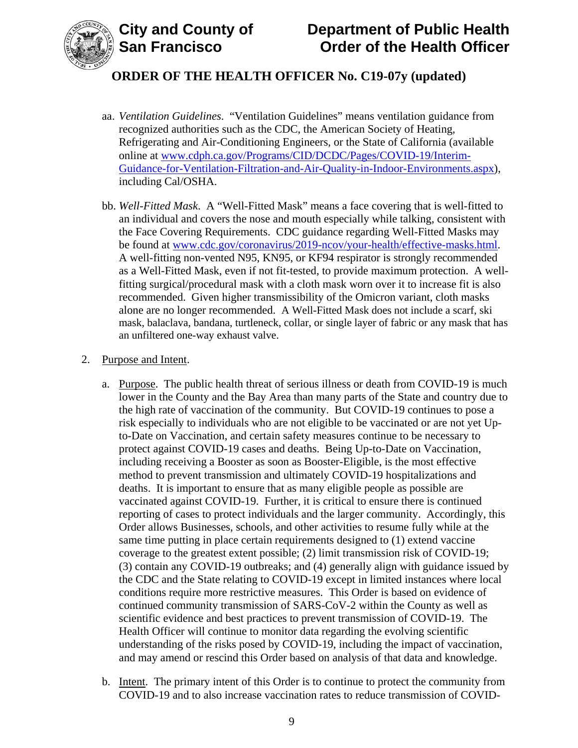



- aa. *Ventilation Guidelines*. "Ventilation Guidelines" means ventilation guidance from recognized authorities such as the CDC, the American Society of Heating, Refrigerating and Air-Conditioning Engineers, or the State of California (available online at [www.cdph.ca.gov/Programs/CID/DCDC/Pages/COVID-19/Interim-](https://www.cdph.ca.gov/Programs/CID/DCDC/Pages/COVID-19/Interim-Guidance-for-Ventilation-Filtration-and-Air-Quality-in-Indoor-Environments.aspx)[Guidance-for-Ventilation-Filtration-and-Air-Quality-in-Indoor-Environments.aspx\)](https://www.cdph.ca.gov/Programs/CID/DCDC/Pages/COVID-19/Interim-Guidance-for-Ventilation-Filtration-and-Air-Quality-in-Indoor-Environments.aspx), including Cal/OSHA.
- bb. *Well-Fitted Mask*. A "Well-Fitted Mask" means a face covering that is well-fitted to an individual and covers the nose and mouth especially while talking, consistent with the Face Covering Requirements. CDC guidance regarding Well-Fitted Masks may be found at [www.cdc.gov/coronavirus/2019-ncov/your-health/effective-masks.html.](https://www.cdc.gov/coronavirus/2019-ncov/your-health/effective-masks.html) A well-fitting non-vented N95, KN95, or KF94 respirator is strongly recommended as a Well-Fitted Mask, even if not fit-tested, to provide maximum protection. A wellfitting surgical/procedural mask with a cloth mask worn over it to increase fit is also recommended. Given higher transmissibility of the Omicron variant, cloth masks alone are no longer recommended. A Well-Fitted Mask does not include a scarf, ski mask, balaclava, bandana, turtleneck, collar, or single layer of fabric or any mask that has an unfiltered one-way exhaust valve.

#### 2. Purpose and Intent.

- a. Purpose. The public health threat of serious illness or death from COVID-19 is much lower in the County and the Bay Area than many parts of the State and country due to the high rate of vaccination of the community. But COVID-19 continues to pose a risk especially to individuals who are not eligible to be vaccinated or are not yet Upto-Date on Vaccination, and certain safety measures continue to be necessary to protect against COVID-19 cases and deaths. Being Up-to-Date on Vaccination, including receiving a Booster as soon as Booster-Eligible, is the most effective method to prevent transmission and ultimately COVID-19 hospitalizations and deaths. It is important to ensure that as many eligible people as possible are vaccinated against COVID-19. Further, it is critical to ensure there is continued reporting of cases to protect individuals and the larger community. Accordingly, this Order allows Businesses, schools, and other activities to resume fully while at the same time putting in place certain requirements designed to (1) extend vaccine coverage to the greatest extent possible; (2) limit transmission risk of COVID-19; (3) contain any COVID-19 outbreaks; and (4) generally align with guidance issued by the CDC and the State relating to COVID-19 except in limited instances where local conditions require more restrictive measures. This Order is based on evidence of continued community transmission of SARS-CoV-2 within the County as well as scientific evidence and best practices to prevent transmission of COVID-19. The Health Officer will continue to monitor data regarding the evolving scientific understanding of the risks posed by COVID-19, including the impact of vaccination, and may amend or rescind this Order based on analysis of that data and knowledge.
- b. Intent. The primary intent of this Order is to continue to protect the community from COVID-19 and to also increase vaccination rates to reduce transmission of COVID-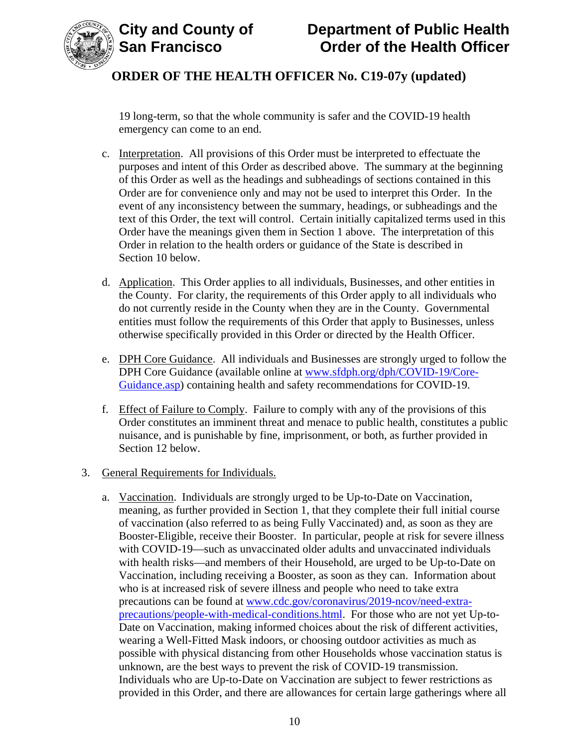

19 long-term, so that the whole community is safer and the COVID-19 health emergency can come to an end.

- c. Interpretation. All provisions of this Order must be interpreted to effectuate the purposes and intent of this Order as described above. The summary at the beginning of this Order as well as the headings and subheadings of sections contained in this Order are for convenience only and may not be used to interpret this Order. In the event of any inconsistency between the summary, headings, or subheadings and the text of this Order, the text will control. Certain initially capitalized terms used in this Order have the meanings given them in Section 1 above. The interpretation of this Order in relation to the health orders or guidance of the State is described in Section 10 below.
- d. Application. This Order applies to all individuals, Businesses, and other entities in the County. For clarity, the requirements of this Order apply to all individuals who do not currently reside in the County when they are in the County. Governmental entities must follow the requirements of this Order that apply to Businesses, unless otherwise specifically provided in this Order or directed by the Health Officer.
- e. DPH Core Guidance. All individuals and Businesses are strongly urged to follow the DPH Core Guidance (available online at [www.sfdph.org/dph/COVID-19/Core-](https://www.sfdph.org/dph/COVID-19/Core-Guidance.asp)[Guidance.asp\)](https://www.sfdph.org/dph/COVID-19/Core-Guidance.asp) containing health and safety recommendations for COVID-19.
- f. Effect of Failure to Comply. Failure to comply with any of the provisions of this Order constitutes an imminent threat and menace to public health, constitutes a public nuisance, and is punishable by fine, imprisonment, or both, as further provided in Section 12 below.
- 3. General Requirements for Individuals.
	- a. Vaccination. Individuals are strongly urged to be Up-to-Date on Vaccination, meaning, as further provided in Section 1, that they complete their full initial course of vaccination (also referred to as being Fully Vaccinated) and, as soon as they are Booster-Eligible, receive their Booster. In particular, people at risk for severe illness with COVID-19—such as unvaccinated older adults and unvaccinated individuals with health risks—and members of their Household, are urged to be Up-to-Date on Vaccination, including receiving a Booster, as soon as they can. Information about who is at increased risk of severe illness and people who need to take extra precautions can be found at [www.cdc.gov/coronavirus/2019-ncov/need-extra](https://www.cdc.gov/coronavirus/2019-ncov/need-extra-precautions/people-with-medical-conditions.html)[precautions/people-with-medical-conditions.html.](https://www.cdc.gov/coronavirus/2019-ncov/need-extra-precautions/people-with-medical-conditions.html) For those who are not yet Up-to-Date on Vaccination, making informed choices about the risk of different activities, wearing a Well-Fitted Mask indoors, or choosing outdoor activities as much as possible with physical distancing from other Households whose vaccination status is unknown, are the best ways to prevent the risk of COVID-19 transmission. Individuals who are Up-to-Date on Vaccination are subject to fewer restrictions as provided in this Order, and there are allowances for certain large gatherings where all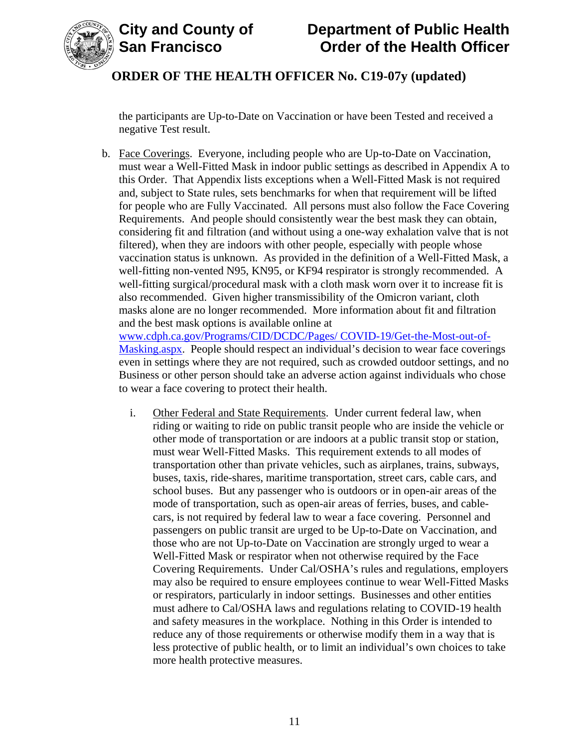



# **City and County of Department of Public Health Order of the Health Officer**

# **ORDER OF THE HEALTH OFFICER No. C19-07y (updated)**

the participants are Up-to-Date on Vaccination or have been Tested and received a negative Test result.

b. Face Coverings. Everyone, including people who are Up-to-Date on Vaccination, must wear a Well-Fitted Mask in indoor public settings as described in Appendix A to this Order. That Appendix lists exceptions when a Well-Fitted Mask is not required and, subject to State rules, sets benchmarks for when that requirement will be lifted for people who are Fully Vaccinated. All persons must also follow the Face Covering Requirements. And people should consistently wear the best mask they can obtain, considering fit and filtration (and without using a one-way exhalation valve that is not filtered), when they are indoors with other people, especially with people whose vaccination status is unknown. As provided in the definition of a Well-Fitted Mask, a well-fitting non-vented N95, KN95, or KF94 respirator is strongly recommended. A well-fitting surgical/procedural mask with a cloth mask worn over it to increase fit is also recommended. Given higher transmissibility of the Omicron variant, cloth masks alone are no longer recommended. More information about fit and filtration and the best mask options is available online at

[www.cdph.ca.gov/Programs/CID/DCDC/Pages/](https://www.cdph.ca.gov/Programs/CID/DCDC/Pages/COVID-19/Get-the-Most-out-of-Masking.aspx) COVID-19/Get-the-Most-out-of-[Masking.aspx.](https://www.cdph.ca.gov/Programs/CID/DCDC/Pages/COVID-19/Get-the-Most-out-of-Masking.aspx) People should respect an individual's decision to wear face coverings even in settings where they are not required, such as crowded outdoor settings, and no Business or other person should take an adverse action against individuals who chose to wear a face covering to protect their health.

i. Other Federal and State Requirements. Under current federal law, when riding or waiting to ride on public transit people who are inside the vehicle or other mode of transportation or are indoors at a public transit stop or station, must wear Well-Fitted Masks. This requirement extends to all modes of transportation other than private vehicles, such as airplanes, trains, subways, buses, taxis, ride-shares, maritime transportation, street cars, cable cars, and school buses. But any passenger who is outdoors or in open-air areas of the mode of transportation, such as open-air areas of ferries, buses, and cablecars, is not required by federal law to wear a face covering. Personnel and passengers on public transit are urged to be Up-to-Date on Vaccination, and those who are not Up-to-Date on Vaccination are strongly urged to wear a Well-Fitted Mask or respirator when not otherwise required by the Face Covering Requirements. Under Cal/OSHA's rules and regulations, employers may also be required to ensure employees continue to wear Well-Fitted Masks or respirators, particularly in indoor settings. Businesses and other entities must adhere to Cal/OSHA laws and regulations relating to COVID-19 health and safety measures in the workplace. Nothing in this Order is intended to reduce any of those requirements or otherwise modify them in a way that is less protective of public health, or to limit an individual's own choices to take more health protective measures.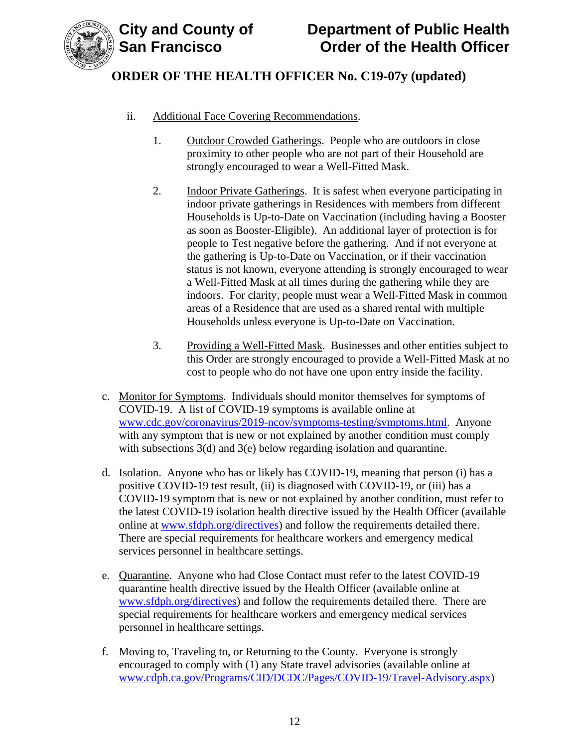

- ii. Additional Face Covering Recommendations.
	- 1. Outdoor Crowded Gatherings. People who are outdoors in close proximity to other people who are not part of their Household are strongly encouraged to wear a Well-Fitted Mask.
	- 2. Indoor Private Gatherings. It is safest when everyone participating in indoor private gatherings in Residences with members from different Households is Up-to-Date on Vaccination (including having a Booster as soon as Booster-Eligible). An additional layer of protection is for people to Test negative before the gathering. And if not everyone at the gathering is Up-to-Date on Vaccination, or if their vaccination status is not known, everyone attending is strongly encouraged to wear a Well-Fitted Mask at all times during the gathering while they are indoors. For clarity, people must wear a Well-Fitted Mask in common areas of a Residence that are used as a shared rental with multiple Households unless everyone is Up-to-Date on Vaccination.
	- 3. Providing a Well-Fitted Mask. Businesses and other entities subject to this Order are strongly encouraged to provide a Well-Fitted Mask at no cost to people who do not have one upon entry inside the facility.
- c. Monitor for Symptoms. Individuals should monitor themselves for symptoms of COVID-19. A list of COVID-19 symptoms is available online at [www.cdc.gov/coronavirus/2019-ncov/symptoms-testing/symptoms.html.](https://www.cdc.gov/coronavirus/2019-ncov/symptoms-testing/symptoms.html) Anyone with any symptom that is new or not explained by another condition must comply with subsections 3(d) and 3(e) below regarding isolation and quarantine.
- d. Isolation. Anyone who has or likely has COVID-19, meaning that person (i) has a positive COVID-19 test result, (ii) is diagnosed with COVID-19, or (iii) has a COVID-19 symptom that is new or not explained by another condition, must refer to the latest COVID-19 isolation health directive issued by the Health Officer (available online at [www.sfdph.org/directives\)](https://www.sfdph.org/directives) and follow the requirements detailed there. There are special requirements for healthcare workers and emergency medical services personnel in healthcare settings.
- e. Quarantine. Anyone who had Close Contact must refer to the latest COVID-19 quarantine health directive issued by the Health Officer (available online at [www.sfdph.org/directives\)](https://www.sfdph.org/directives) and follow the requirements detailed there. There are special requirements for healthcare workers and emergency medical services personnel in healthcare settings.
- f. Moving to, Traveling to, or Returning to the County. Everyone is strongly encouraged to comply with (1) any State travel advisories (available online at [www.cdph.ca.gov/Programs/CID/DCDC/Pages/COVID-19/Travel-Advisory.aspx\)](https://www.cdph.ca.gov/Programs/CID/DCDC/Pages/COVID-19/Travel-Advisory.aspx)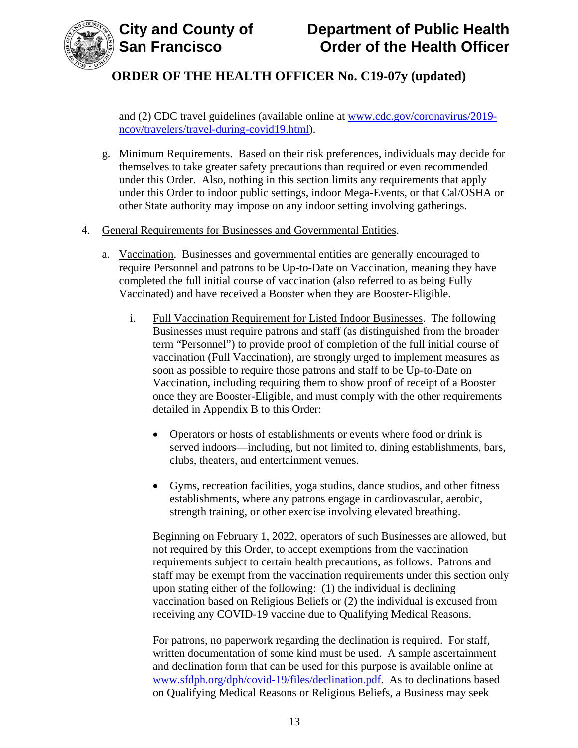

and (2) CDC travel guidelines (available online at [www.cdc.gov/coronavirus/2019](https://www.cdc.gov/coronavirus/2019-ncov/travelers/travel-during-covid19.html) [ncov/travelers/travel-during-covid19.html\)](https://www.cdc.gov/coronavirus/2019-ncov/travelers/travel-during-covid19.html).

- g. Minimum Requirements. Based on their risk preferences, individuals may decide for themselves to take greater safety precautions than required or even recommended under this Order. Also, nothing in this section limits any requirements that apply under this Order to indoor public settings, indoor Mega-Events, or that Cal/OSHA or other State authority may impose on any indoor setting involving gatherings.
- 4. General Requirements for Businesses and Governmental Entities.
	- a. Vaccination. Businesses and governmental entities are generally encouraged to require Personnel and patrons to be Up-to-Date on Vaccination, meaning they have completed the full initial course of vaccination (also referred to as being Fully Vaccinated) and have received a Booster when they are Booster-Eligible.
		- i. Full Vaccination Requirement for Listed Indoor Businesses. The following Businesses must require patrons and staff (as distinguished from the broader term "Personnel") to provide proof of completion of the full initial course of vaccination (Full Vaccination), are strongly urged to implement measures as soon as possible to require those patrons and staff to be Up-to-Date on Vaccination, including requiring them to show proof of receipt of a Booster once they are Booster-Eligible, and must comply with the other requirements detailed in Appendix B to this Order:
			- Operators or hosts of establishments or events where food or drink is served indoors—including, but not limited to, dining establishments, bars, clubs, theaters, and entertainment venues.
			- Gyms, recreation facilities, yoga studios, dance studios, and other fitness establishments, where any patrons engage in cardiovascular, aerobic, strength training, or other exercise involving elevated breathing.

Beginning on February 1, 2022, operators of such Businesses are allowed, but not required by this Order, to accept exemptions from the vaccination requirements subject to certain health precautions, as follows. Patrons and staff may be exempt from the vaccination requirements under this section only upon stating either of the following: (1) the individual is declining vaccination based on Religious Beliefs or (2) the individual is excused from receiving any COVID-19 vaccine due to Qualifying Medical Reasons.

For patrons, no paperwork regarding the declination is required. For staff, written documentation of some kind must be used. A sample ascertainment and declination form that can be used for this purpose is available online at [www.sfdph.org/dph/covid-19/files/declination.pdf.](https://www.sfdph.org/dph/covid-19/files/declination.pdf) As to declinations based on Qualifying Medical Reasons or Religious Beliefs, a Business may seek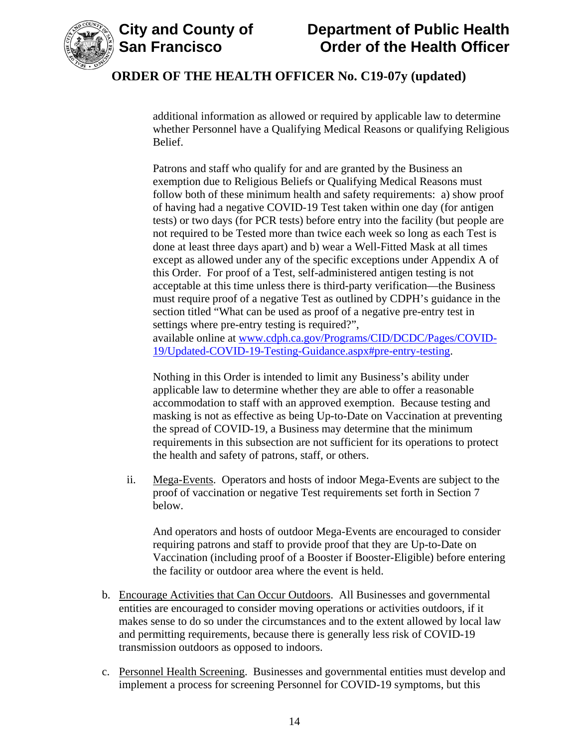



additional information as allowed or required by applicable law to determine whether Personnel have a Qualifying Medical Reasons or qualifying Religious Belief.

Patrons and staff who qualify for and are granted by the Business an exemption due to Religious Beliefs or Qualifying Medical Reasons must follow both of these minimum health and safety requirements: a) show proof of having had a negative COVID-19 Test taken within one day (for antigen tests) or two days (for PCR tests) before entry into the facility (but people are not required to be Tested more than twice each week so long as each Test is done at least three days apart) and b) wear a Well-Fitted Mask at all times except as allowed under any of the specific exceptions under Appendix A of this Order. For proof of a Test, self-administered antigen testing is not acceptable at this time unless there is third-party verification—the Business must require proof of a negative Test as outlined by CDPH's guidance in the section titled "What can be used as proof of a negative pre-entry test in settings where pre-entry testing is required?", available online at [www.cdph.ca.gov/Programs/CID/DCDC/Pages/COVID-](https://www.cdph.ca.gov/Programs/CID/DCDC/Pages/COVID-19/Updated-COVID-19-Testing-Guidance.aspx#pre-entry-testing)[19/Updated-COVID-19-Testing-Guidance.aspx#pre-entry-testing.](https://www.cdph.ca.gov/Programs/CID/DCDC/Pages/COVID-19/Updated-COVID-19-Testing-Guidance.aspx#pre-entry-testing)

Nothing in this Order is intended to limit any Business's ability under applicable law to determine whether they are able to offer a reasonable accommodation to staff with an approved exemption. Because testing and masking is not as effective as being Up-to-Date on Vaccination at preventing the spread of COVID-19, a Business may determine that the minimum requirements in this subsection are not sufficient for its operations to protect the health and safety of patrons, staff, or others.

ii. Mega-Events. Operators and hosts of indoor Mega-Events are subject to the proof of vaccination or negative Test requirements set forth in Section 7 below.

And operators and hosts of outdoor Mega-Events are encouraged to consider requiring patrons and staff to provide proof that they are Up-to-Date on Vaccination (including proof of a Booster if Booster-Eligible) before entering the facility or outdoor area where the event is held.

- b. Encourage Activities that Can Occur Outdoors. All Businesses and governmental entities are encouraged to consider moving operations or activities outdoors, if it makes sense to do so under the circumstances and to the extent allowed by local law and permitting requirements, because there is generally less risk of COVID-19 transmission outdoors as opposed to indoors.
- c. Personnel Health Screening. Businesses and governmental entities must develop and implement a process for screening Personnel for COVID-19 symptoms, but this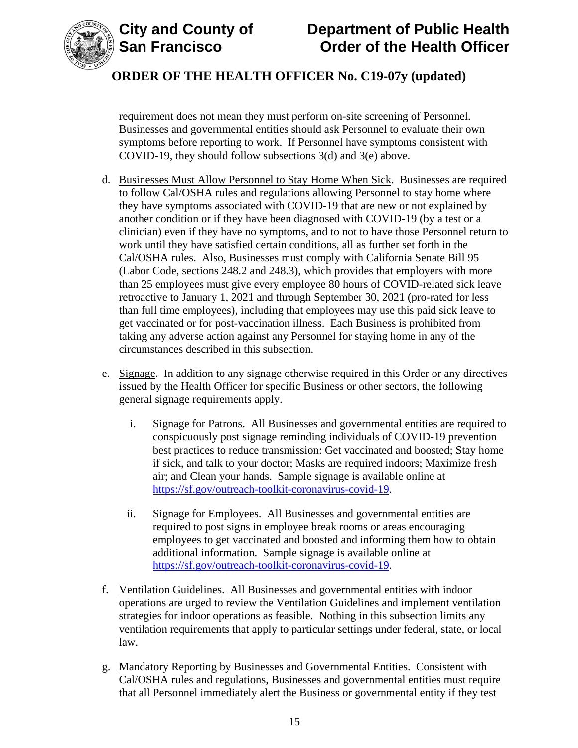



requirement does not mean they must perform on-site screening of Personnel. Businesses and governmental entities should ask Personnel to evaluate their own symptoms before reporting to work. If Personnel have symptoms consistent with COVID-19, they should follow subsections 3(d) and 3(e) above.

- d. Businesses Must Allow Personnel to Stay Home When Sick. Businesses are required to follow Cal/OSHA rules and regulations allowing Personnel to stay home where they have symptoms associated with COVID-19 that are new or not explained by another condition or if they have been diagnosed with COVID-19 (by a test or a clinician) even if they have no symptoms, and to not to have those Personnel return to work until they have satisfied certain conditions, all as further set forth in the Cal/OSHA rules. Also, Businesses must comply with California Senate Bill 95 (Labor Code, sections 248.2 and 248.3), which provides that employers with more than 25 employees must give every employee 80 hours of COVID-related sick leave retroactive to January 1, 2021 and through September 30, 2021 (pro-rated for less than full time employees), including that employees may use this paid sick leave to get vaccinated or for post-vaccination illness. Each Business is prohibited from taking any adverse action against any Personnel for staying home in any of the circumstances described in this subsection.
- e. Signage. In addition to any signage otherwise required in this Order or any directives issued by the Health Officer for specific Business or other sectors, the following general signage requirements apply.
	- i. Signage for Patrons. All Businesses and governmental entities are required to conspicuously post signage reminding individuals of COVID-19 prevention best practices to reduce transmission: Get vaccinated and boosted; Stay home if sick, and talk to your doctor; Masks are required indoors; Maximize fresh air; and Clean your hands. Sample signage is available online at [https://sf.gov/outreach-toolkit-coronavirus-covid-19.](https://sf.gov/outreach-toolkit-coronavirus-covid-19)
	- ii. Signage for Employees. All Businesses and governmental entities are required to post signs in employee break rooms or areas encouraging employees to get vaccinated and boosted and informing them how to obtain additional information. Sample signage is available online at [https://sf.gov/outreach-toolkit-coronavirus-covid-19.](https://sf.gov/outreach-toolkit-coronavirus-covid-19)
- f. Ventilation Guidelines. All Businesses and governmental entities with indoor operations are urged to review the Ventilation Guidelines and implement ventilation strategies for indoor operations as feasible. Nothing in this subsection limits any ventilation requirements that apply to particular settings under federal, state, or local law.
- g. Mandatory Reporting by Businesses and Governmental Entities. Consistent with Cal/OSHA rules and regulations, Businesses and governmental entities must require that all Personnel immediately alert the Business or governmental entity if they test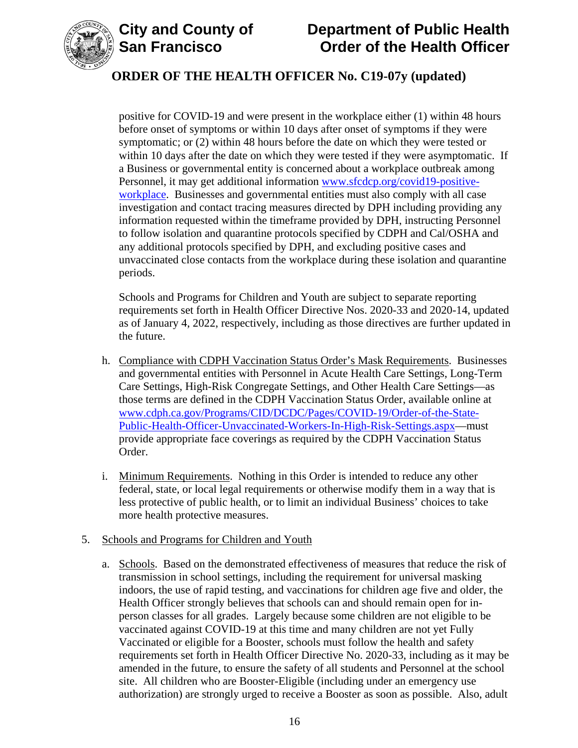

# **City and County of Department of Public Health Order of the Health Officer**

# **ORDER OF THE HEALTH OFFICER No. C19-07y (updated)**

positive for COVID-19 and were present in the workplace either (1) within 48 hours before onset of symptoms or within 10 days after onset of symptoms if they were symptomatic; or (2) within 48 hours before the date on which they were tested or within 10 days after the date on which they were tested if they were asymptomatic. If a Business or governmental entity is concerned about a workplace outbreak among Personnel, it may get additional information [www.sfcdcp.org/covid19-positive](http://www.sfcdcp.org/covid19-positive-workplace)[workplace.](http://www.sfcdcp.org/covid19-positive-workplace) Businesses and governmental entities must also comply with all case investigation and contact tracing measures directed by DPH including providing any information requested within the timeframe provided by DPH, instructing Personnel to follow isolation and quarantine protocols specified by CDPH and Cal/OSHA and any additional protocols specified by DPH, and excluding positive cases and unvaccinated close contacts from the workplace during these isolation and quarantine periods.

Schools and Programs for Children and Youth are subject to separate reporting requirements set forth in Health Officer Directive Nos. 2020-33 and 2020-14, updated as of January 4, 2022, respectively, including as those directives are further updated in the future.

- h. Compliance with CDPH Vaccination Status Order's Mask Requirements. Businesses and governmental entities with Personnel in Acute Health Care Settings, Long-Term Care Settings, High-Risk Congregate Settings, and Other Health Care Settings—as those terms are defined in the CDPH Vaccination Status Order, available online at [www.cdph.ca.gov/Programs/CID/DCDC/Pages/COVID-19/Order-of-the-State-](https://www.cdph.ca.gov/Programs/CID/DCDC/Pages/COVID-19/Order-of-the-State-Public-Health-Officer-Unvaccinated-Workers-In-High-Risk-Settings.aspx)[Public-Health-Officer-Unvaccinated-Workers-In-High-Risk-Settings.aspx—](https://www.cdph.ca.gov/Programs/CID/DCDC/Pages/COVID-19/Order-of-the-State-Public-Health-Officer-Unvaccinated-Workers-In-High-Risk-Settings.aspx)must provide appropriate face coverings as required by the CDPH Vaccination Status Order.
- i. Minimum Requirements. Nothing in this Order is intended to reduce any other federal, state, or local legal requirements or otherwise modify them in a way that is less protective of public health, or to limit an individual Business' choices to take more health protective measures.

#### 5. Schools and Programs for Children and Youth

a. Schools. Based on the demonstrated effectiveness of measures that reduce the risk of transmission in school settings, including the requirement for universal masking indoors, the use of rapid testing, and vaccinations for children age five and older, the Health Officer strongly believes that schools can and should remain open for inperson classes for all grades. Largely because some children are not eligible to be vaccinated against COVID-19 at this time and many children are not yet Fully Vaccinated or eligible for a Booster, schools must follow the health and safety requirements set forth in Health Officer Directive No. 2020-33, including as it may be amended in the future, to ensure the safety of all students and Personnel at the school site. All children who are Booster-Eligible (including under an emergency use authorization) are strongly urged to receive a Booster as soon as possible. Also, adult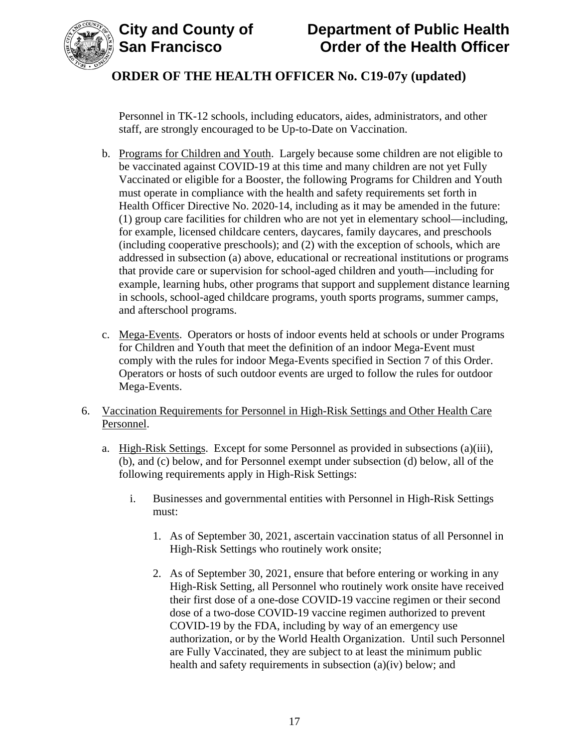



Personnel in TK-12 schools, including educators, aides, administrators, and other staff, are strongly encouraged to be Up-to-Date on Vaccination.

- b. Programs for Children and Youth. Largely because some children are not eligible to be vaccinated against COVID-19 at this time and many children are not yet Fully Vaccinated or eligible for a Booster, the following Programs for Children and Youth must operate in compliance with the health and safety requirements set forth in Health Officer Directive No. 2020-14, including as it may be amended in the future: (1) group care facilities for children who are not yet in elementary school—including, for example, licensed childcare centers, daycares, family daycares, and preschools (including cooperative preschools); and (2) with the exception of schools, which are addressed in subsection (a) above, educational or recreational institutions or programs that provide care or supervision for school-aged children and youth—including for example, learning hubs, other programs that support and supplement distance learning in schools, school-aged childcare programs, youth sports programs, summer camps, and afterschool programs.
- c. Mega-Events. Operators or hosts of indoor events held at schools or under Programs for Children and Youth that meet the definition of an indoor Mega-Event must comply with the rules for indoor Mega-Events specified in Section 7 of this Order. Operators or hosts of such outdoor events are urged to follow the rules for outdoor Mega-Events.
- 6. Vaccination Requirements for Personnel in High-Risk Settings and Other Health Care Personnel.
	- a. High-Risk Settings. Except for some Personnel as provided in subsections (a)(iii), (b), and (c) below, and for Personnel exempt under subsection (d) below, all of the following requirements apply in High-Risk Settings:
		- i. Businesses and governmental entities with Personnel in High-Risk Settings must:
			- 1. As of September 30, 2021, ascertain vaccination status of all Personnel in High-Risk Settings who routinely work onsite;
			- 2. As of September 30, 2021, ensure that before entering or working in any High-Risk Setting, all Personnel who routinely work onsite have received their first dose of a one-dose COVID-19 vaccine regimen or their second dose of a two-dose COVID-19 vaccine regimen authorized to prevent COVID-19 by the FDA, including by way of an emergency use authorization, or by the World Health Organization. Until such Personnel are Fully Vaccinated, they are subject to at least the minimum public health and safety requirements in subsection (a)(iv) below; and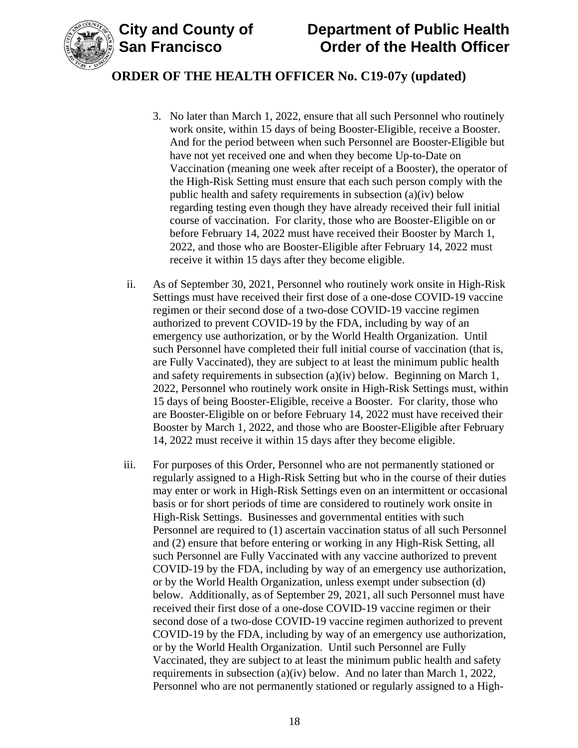

- 3. No later than March 1, 2022, ensure that all such Personnel who routinely work onsite, within 15 days of being Booster-Eligible, receive a Booster. And for the period between when such Personnel are Booster-Eligible but have not yet received one and when they become Up-to-Date on Vaccination (meaning one week after receipt of a Booster), the operator of the High-Risk Setting must ensure that each such person comply with the public health and safety requirements in subsection (a)(iv) below regarding testing even though they have already received their full initial course of vaccination. For clarity, those who are Booster-Eligible on or before February 14, 2022 must have received their Booster by March 1, 2022, and those who are Booster-Eligible after February 14, 2022 must receive it within 15 days after they become eligible.
- ii. As of September 30, 2021, Personnel who routinely work onsite in High-Risk Settings must have received their first dose of a one-dose COVID-19 vaccine regimen or their second dose of a two-dose COVID-19 vaccine regimen authorized to prevent COVID-19 by the FDA, including by way of an emergency use authorization, or by the World Health Organization. Until such Personnel have completed their full initial course of vaccination (that is, are Fully Vaccinated), they are subject to at least the minimum public health and safety requirements in subsection (a)(iv) below. Beginning on March 1, 2022, Personnel who routinely work onsite in High-Risk Settings must, within 15 days of being Booster-Eligible, receive a Booster. For clarity, those who are Booster-Eligible on or before February 14, 2022 must have received their Booster by March 1, 2022, and those who are Booster-Eligible after February 14, 2022 must receive it within 15 days after they become eligible.
- iii. For purposes of this Order, Personnel who are not permanently stationed or regularly assigned to a High-Risk Setting but who in the course of their duties may enter or work in High-Risk Settings even on an intermittent or occasional basis or for short periods of time are considered to routinely work onsite in High-Risk Settings. Businesses and governmental entities with such Personnel are required to (1) ascertain vaccination status of all such Personnel and (2) ensure that before entering or working in any High-Risk Setting, all such Personnel are Fully Vaccinated with any vaccine authorized to prevent COVID-19 by the FDA, including by way of an emergency use authorization, or by the World Health Organization, unless exempt under subsection (d) below. Additionally, as of September 29, 2021, all such Personnel must have received their first dose of a one-dose COVID-19 vaccine regimen or their second dose of a two-dose COVID-19 vaccine regimen authorized to prevent COVID-19 by the FDA, including by way of an emergency use authorization, or by the World Health Organization. Until such Personnel are Fully Vaccinated, they are subject to at least the minimum public health and safety requirements in subsection (a)(iv) below. And no later than March 1, 2022, Personnel who are not permanently stationed or regularly assigned to a High-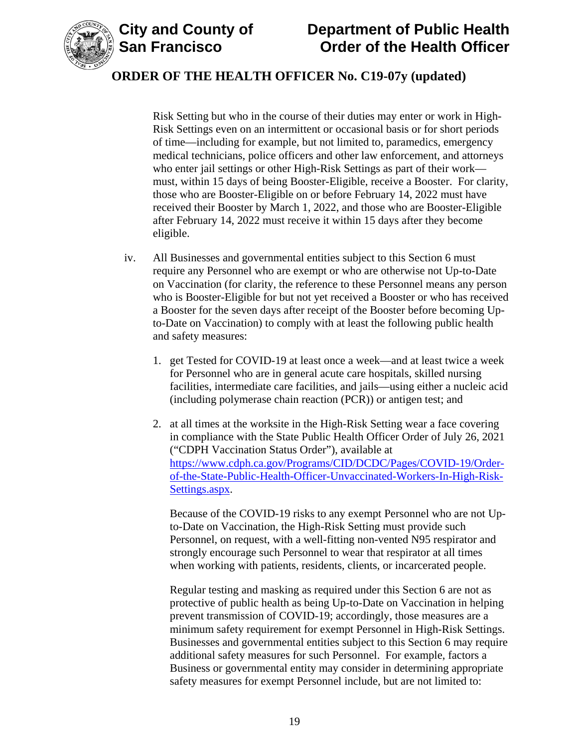

# **City and County of Department of Public Health Order of the Health Officer**

## **ORDER OF THE HEALTH OFFICER No. C19-07y (updated)**

Risk Setting but who in the course of their duties may enter or work in High-Risk Settings even on an intermittent or occasional basis or for short periods of time—including for example, but not limited to, paramedics, emergency medical technicians, police officers and other law enforcement, and attorneys who enter jail settings or other High-Risk Settings as part of their work must, within 15 days of being Booster-Eligible, receive a Booster. For clarity, those who are Booster-Eligible on or before February 14, 2022 must have received their Booster by March 1, 2022, and those who are Booster-Eligible after February 14, 2022 must receive it within 15 days after they become eligible.

- iv. All Businesses and governmental entities subject to this Section 6 must require any Personnel who are exempt or who are otherwise not Up-to-Date on Vaccination (for clarity, the reference to these Personnel means any person who is Booster-Eligible for but not yet received a Booster or who has received a Booster for the seven days after receipt of the Booster before becoming Upto-Date on Vaccination) to comply with at least the following public health and safety measures:
	- 1. get Tested for COVID-19 at least once a week—and at least twice a week for Personnel who are in general acute care hospitals, skilled nursing facilities, intermediate care facilities, and jails—using either a nucleic acid (including polymerase chain reaction (PCR)) or antigen test; and
	- 2. at all times at the worksite in the High-Risk Setting wear a face covering in compliance with the State Public Health Officer Order of July 26, 2021 ("CDPH Vaccination Status Order"), available at [https://www.cdph.ca.gov/Programs/CID/DCDC/Pages/COVID-19/Order](https://www.cdph.ca.gov/Programs/CID/DCDC/Pages/COVID-19/Order-of-the-State-Public-Health-Officer-Unvaccinated-Workers-In-High-Risk-Settings.aspx)[of-the-State-Public-Health-Officer-Unvaccinated-Workers-In-High-Risk-](https://www.cdph.ca.gov/Programs/CID/DCDC/Pages/COVID-19/Order-of-the-State-Public-Health-Officer-Unvaccinated-Workers-In-High-Risk-Settings.aspx)[Settings.aspx.](https://www.cdph.ca.gov/Programs/CID/DCDC/Pages/COVID-19/Order-of-the-State-Public-Health-Officer-Unvaccinated-Workers-In-High-Risk-Settings.aspx)

Because of the COVID-19 risks to any exempt Personnel who are not Upto-Date on Vaccination, the High-Risk Setting must provide such Personnel, on request, with a well-fitting non-vented N95 respirator and strongly encourage such Personnel to wear that respirator at all times when working with patients, residents, clients, or incarcerated people.

Regular testing and masking as required under this Section 6 are not as protective of public health as being Up-to-Date on Vaccination in helping prevent transmission of COVID-19; accordingly, those measures are a minimum safety requirement for exempt Personnel in High-Risk Settings. Businesses and governmental entities subject to this Section 6 may require additional safety measures for such Personnel. For example, factors a Business or governmental entity may consider in determining appropriate safety measures for exempt Personnel include, but are not limited to: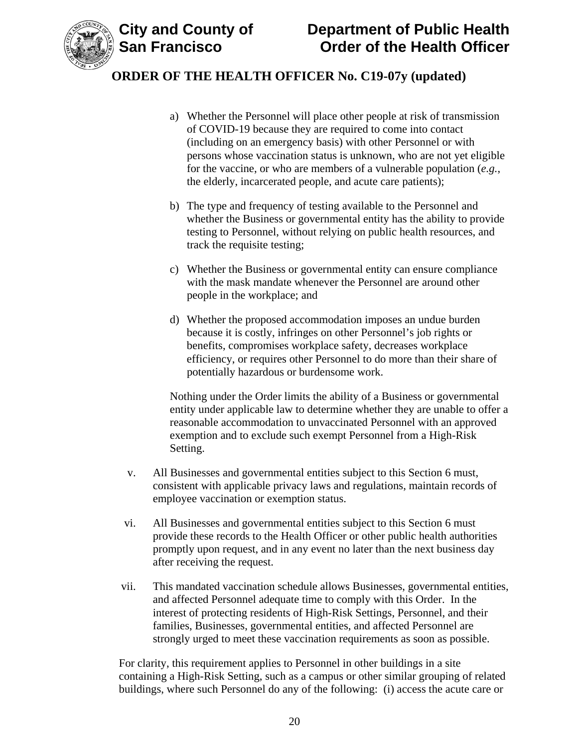

- a) Whether the Personnel will place other people at risk of transmission of COVID-19 because they are required to come into contact (including on an emergency basis) with other Personnel or with persons whose vaccination status is unknown, who are not yet eligible for the vaccine, or who are members of a vulnerable population (*e.g.*, the elderly, incarcerated people, and acute care patients);
- b) The type and frequency of testing available to the Personnel and whether the Business or governmental entity has the ability to provide testing to Personnel, without relying on public health resources, and track the requisite testing;
- c) Whether the Business or governmental entity can ensure compliance with the mask mandate whenever the Personnel are around other people in the workplace; and
- d) Whether the proposed accommodation imposes an undue burden because it is costly, infringes on other Personnel's job rights or benefits, compromises workplace safety, decreases workplace efficiency, or requires other Personnel to do more than their share of potentially hazardous or burdensome work.

Nothing under the Order limits the ability of a Business or governmental entity under applicable law to determine whether they are unable to offer a reasonable accommodation to unvaccinated Personnel with an approved exemption and to exclude such exempt Personnel from a High-Risk Setting.

- v. All Businesses and governmental entities subject to this Section 6 must, consistent with applicable privacy laws and regulations, maintain records of employee vaccination or exemption status.
- vi. All Businesses and governmental entities subject to this Section 6 must provide these records to the Health Officer or other public health authorities promptly upon request, and in any event no later than the next business day after receiving the request.
- vii. This mandated vaccination schedule allows Businesses, governmental entities, and affected Personnel adequate time to comply with this Order. In the interest of protecting residents of High-Risk Settings, Personnel, and their families, Businesses, governmental entities, and affected Personnel are strongly urged to meet these vaccination requirements as soon as possible.

For clarity, this requirement applies to Personnel in other buildings in a site containing a High-Risk Setting, such as a campus or other similar grouping of related buildings, where such Personnel do any of the following: (i) access the acute care or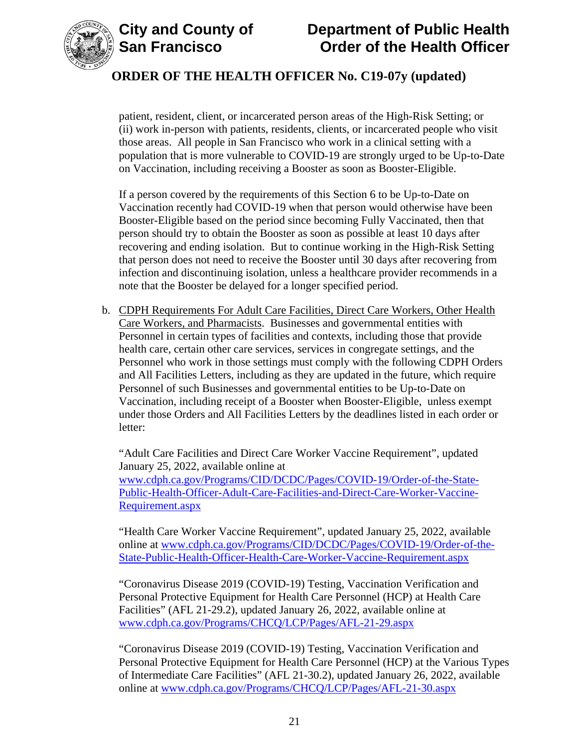



patient, resident, client, or incarcerated person areas of the High-Risk Setting; or (ii) work in-person with patients, residents, clients, or incarcerated people who visit those areas. All people in San Francisco who work in a clinical setting with a population that is more vulnerable to COVID-19 are strongly urged to be Up-to-Date on Vaccination, including receiving a Booster as soon as Booster-Eligible.

If a person covered by the requirements of this Section 6 to be Up-to-Date on Vaccination recently had COVID-19 when that person would otherwise have been Booster-Eligible based on the period since becoming Fully Vaccinated, then that person should try to obtain the Booster as soon as possible at least 10 days after recovering and ending isolation. But to continue working in the High-Risk Setting that person does not need to receive the Booster until 30 days after recovering from infection and discontinuing isolation, unless a healthcare provider recommends in a note that the Booster be delayed for a longer specified period.

b. CDPH Requirements For Adult Care Facilities, Direct Care Workers, Other Health Care Workers, and Pharmacists. Businesses and governmental entities with Personnel in certain types of facilities and contexts, including those that provide health care, certain other care services, services in congregate settings, and the Personnel who work in those settings must comply with the following CDPH Orders and All Facilities Letters, including as they are updated in the future, which require Personnel of such Businesses and governmental entities to be Up-to-Date on Vaccination, including receipt of a Booster when Booster-Eligible, unless exempt under those Orders and All Facilities Letters by the deadlines listed in each order or letter:

"Adult Care Facilities and Direct Care Worker Vaccine Requirement", updated January 25, 2022, available online at [www.cdph.ca.gov/Programs/CID/DCDC/Pages/COVID-19/Order-of-the-State-](https://www.cdph.ca.gov/Programs/CID/DCDC/Pages/COVID-19/Order-of-the-State-Public-Health-Officer-Adult-Care-Facilities-and-Direct-Care-Worker-Vaccine-Requirement.aspx)[Public-Health-Officer-Adult-Care-Facilities-and-Direct-Care-Worker-Vaccine-](https://www.cdph.ca.gov/Programs/CID/DCDC/Pages/COVID-19/Order-of-the-State-Public-Health-Officer-Adult-Care-Facilities-and-Direct-Care-Worker-Vaccine-Requirement.aspx)[Requirement.aspx](https://www.cdph.ca.gov/Programs/CID/DCDC/Pages/COVID-19/Order-of-the-State-Public-Health-Officer-Adult-Care-Facilities-and-Direct-Care-Worker-Vaccine-Requirement.aspx)

"Health Care Worker Vaccine Requirement", updated January 25, 2022, available online at [www.cdph.ca.gov/Programs/CID/DCDC/Pages/COVID-19/Order-of-the-](https://www.cdph.ca.gov/Programs/CID/DCDC/Pages/COVID-19/Order-of-the-State-Public-Health-Officer-Health-Care-Worker-Vaccine-Requirement.aspx)[State-Public-Health-Officer-Health-Care-Worker-Vaccine-Requirement.aspx](https://www.cdph.ca.gov/Programs/CID/DCDC/Pages/COVID-19/Order-of-the-State-Public-Health-Officer-Health-Care-Worker-Vaccine-Requirement.aspx)

"Coronavirus Disease 2019 (COVID-19) Testing, Vaccination Verification and Personal Protective Equipment for Health Care Personnel (HCP) at Health Care Facilities" (AFL 21-29.2), updated January 26, 2022, available online at [www.cdph.ca.gov/Programs/CHCQ/LCP/Pages/AFL-21-29.aspx](https://www.cdph.ca.gov/Programs/CHCQ/LCP/Pages/AFL-21-29.aspx)

"Coronavirus Disease 2019 (COVID-19) Testing, Vaccination Verification and Personal Protective Equipment for Health Care Personnel (HCP) at the Various Types of Intermediate Care Facilities" (AFL 21-30.2), updated January 26, 2022, available online at [www.cdph.ca.gov/Programs/CHCQ/LCP/Pages/AFL-21-30.aspx](https://www.cdph.ca.gov/Programs/CHCQ/LCP/Pages/AFL-21-30.aspx)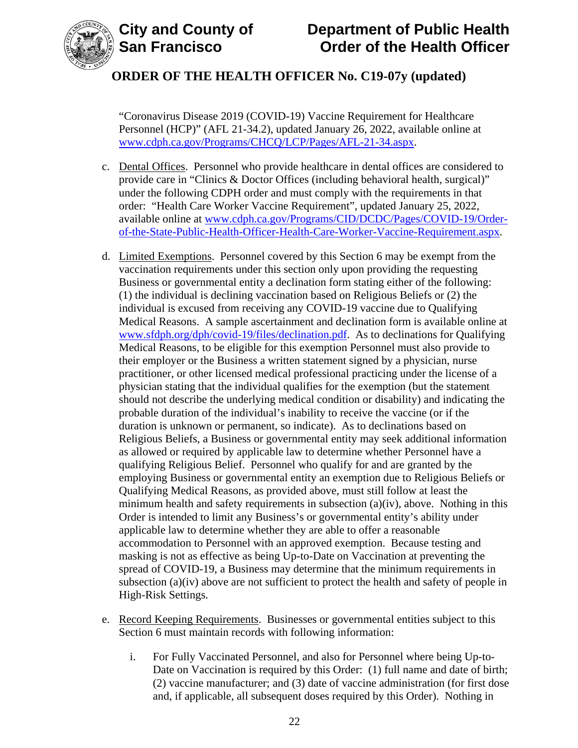



# **City and County of Department of Public Health Order of the Health Officer**

# **ORDER OF THE HEALTH OFFICER No. C19-07y (updated)**

"Coronavirus Disease 2019 (COVID-19) Vaccine Requirement for Healthcare Personnel (HCP)" (AFL 21-34.2), updated January 26, 2022, available online at [www.cdph.ca.gov/Programs/CHCQ/LCP/Pages/AFL-21-34.aspx.](https://www.cdph.ca.gov/Programs/CHCQ/LCP/Pages/AFL-21-34.aspx)

- c. Dental Offices. Personnel who provide healthcare in dental offices are considered to provide care in "Clinics & Doctor Offices (including behavioral health, surgical)" under the following CDPH order and must comply with the requirements in that order: "Health Care Worker Vaccine Requirement", updated January 25, 2022, available online at [www.cdph.ca.gov/Programs/CID/DCDC/Pages/COVID-19/Order](https://www.cdph.ca.gov/Programs/CID/DCDC/Pages/COVID-19/Order-of-the-State-Public-Health-Officer-Health-Care-Worker-Vaccine-Requirement.aspx)[of-the-State-Public-Health-Officer-Health-Care-Worker-Vaccine-Requirement.aspx.](https://www.cdph.ca.gov/Programs/CID/DCDC/Pages/COVID-19/Order-of-the-State-Public-Health-Officer-Health-Care-Worker-Vaccine-Requirement.aspx)
- d. Limited Exemptions. Personnel covered by this Section 6 may be exempt from the vaccination requirements under this section only upon providing the requesting Business or governmental entity a declination form stating either of the following: (1) the individual is declining vaccination based on Religious Beliefs or (2) the individual is excused from receiving any COVID-19 vaccine due to Qualifying Medical Reasons. A sample ascertainment and declination form is available online at [www.sfdph.org/dph/covid-19/files/declination.pdf.](https://www.sfdph.org/dph/covid-19/files/declination.pdf) As to declinations for Qualifying Medical Reasons, to be eligible for this exemption Personnel must also provide to their employer or the Business a written statement signed by a physician, nurse practitioner, or other licensed medical professional practicing under the license of a physician stating that the individual qualifies for the exemption (but the statement should not describe the underlying medical condition or disability) and indicating the probable duration of the individual's inability to receive the vaccine (or if the duration is unknown or permanent, so indicate). As to declinations based on Religious Beliefs, a Business or governmental entity may seek additional information as allowed or required by applicable law to determine whether Personnel have a qualifying Religious Belief. Personnel who qualify for and are granted by the employing Business or governmental entity an exemption due to Religious Beliefs or Qualifying Medical Reasons, as provided above, must still follow at least the minimum health and safety requirements in subsection (a)(iv), above. Nothing in this Order is intended to limit any Business's or governmental entity's ability under applicable law to determine whether they are able to offer a reasonable accommodation to Personnel with an approved exemption. Because testing and masking is not as effective as being Up-to-Date on Vaccination at preventing the spread of COVID-19, a Business may determine that the minimum requirements in subsection (a)(iv) above are not sufficient to protect the health and safety of people in High-Risk Settings.
- e. Record Keeping Requirements. Businesses or governmental entities subject to this Section 6 must maintain records with following information:
	- i. For Fully Vaccinated Personnel, and also for Personnel where being Up-to-Date on Vaccination is required by this Order: (1) full name and date of birth; (2) vaccine manufacturer; and (3) date of vaccine administration (for first dose and, if applicable, all subsequent doses required by this Order). Nothing in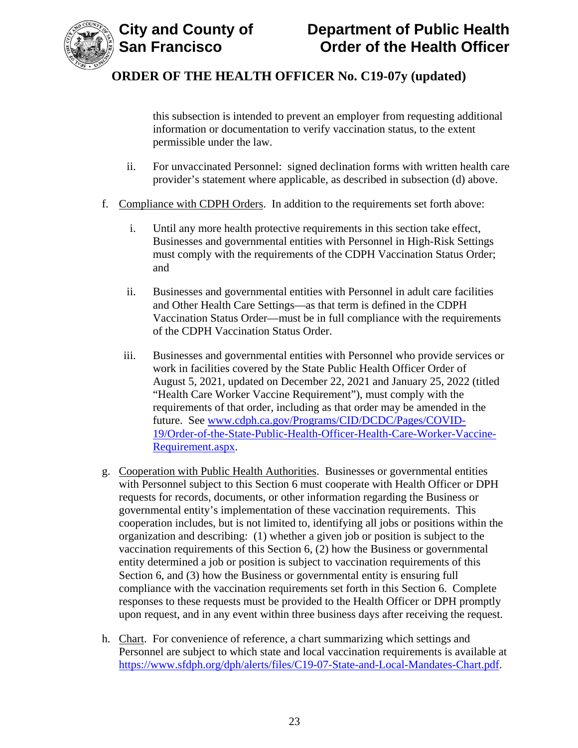

this subsection is intended to prevent an employer from requesting additional information or documentation to verify vaccination status, to the extent permissible under the law.

- ii. For unvaccinated Personnel: signed declination forms with written health care provider's statement where applicable, as described in subsection (d) above.
- f. Compliance with CDPH Orders. In addition to the requirements set forth above:
	- i. Until any more health protective requirements in this section take effect, Businesses and governmental entities with Personnel in High-Risk Settings must comply with the requirements of the CDPH Vaccination Status Order; and
	- ii. Businesses and governmental entities with Personnel in adult care facilities and Other Health Care Settings—as that term is defined in the CDPH Vaccination Status Order—must be in full compliance with the requirements of the CDPH Vaccination Status Order.
	- iii. Businesses and governmental entities with Personnel who provide services or work in facilities covered by the State Public Health Officer Order of August 5, 2021, updated on December 22, 2021 and January 25, 2022 (titled "Health Care Worker Vaccine Requirement"), must comply with the requirements of that order, including as that order may be amended in the future. See [www.cdph.ca.gov/Programs/CID/DCDC/Pages/COVID-](https://www.cdph.ca.gov/Programs/CID/DCDC/Pages/COVID-19/Order-of-the-State-Public-Health-Officer-Health-Care-Worker-Vaccine-Requirement.aspx)[19/Order-of-the-State-Public-Health-Officer-Health-Care-Worker-Vaccine-](https://www.cdph.ca.gov/Programs/CID/DCDC/Pages/COVID-19/Order-of-the-State-Public-Health-Officer-Health-Care-Worker-Vaccine-Requirement.aspx)[Requirement.aspx.](https://www.cdph.ca.gov/Programs/CID/DCDC/Pages/COVID-19/Order-of-the-State-Public-Health-Officer-Health-Care-Worker-Vaccine-Requirement.aspx)
- g. Cooperation with Public Health Authorities. Businesses or governmental entities with Personnel subject to this Section 6 must cooperate with Health Officer or DPH requests for records, documents, or other information regarding the Business or governmental entity's implementation of these vaccination requirements. This cooperation includes, but is not limited to, identifying all jobs or positions within the organization and describing: (1) whether a given job or position is subject to the vaccination requirements of this Section 6, (2) how the Business or governmental entity determined a job or position is subject to vaccination requirements of this Section 6, and (3) how the Business or governmental entity is ensuring full compliance with the vaccination requirements set forth in this Section 6. Complete responses to these requests must be provided to the Health Officer or DPH promptly upon request, and in any event within three business days after receiving the request.
- h. Chart. For convenience of reference, a chart summarizing which settings and Personnel are subject to which state and local vaccination requirements is available at [https://www.sfdph.org/dph/alerts/files/C19-07-State-and-Local-Mandates-Chart.pdf.](https://www.sfdph.org/dph/alerts/files/C19-07-State-and-Local-Mandates-Chart.pdf)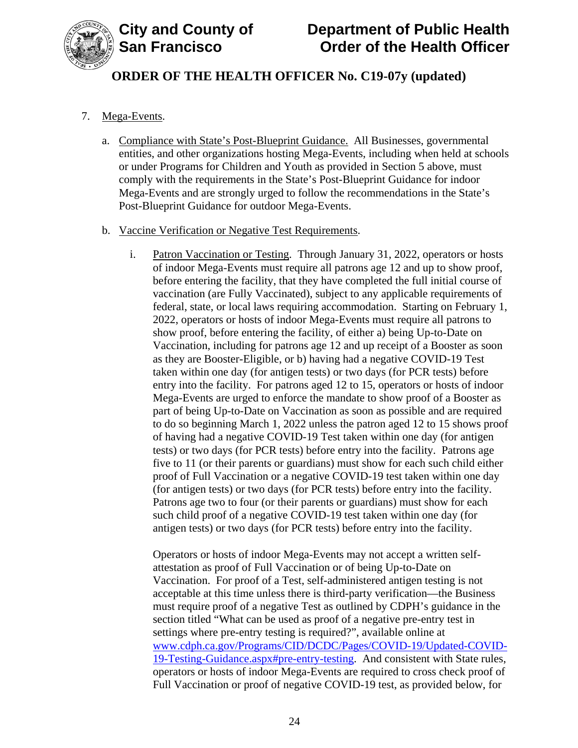

#### 7. Mega-Events.

a. Compliance with State's Post-Blueprint Guidance. All Businesses, governmental entities, and other organizations hosting Mega-Events, including when held at schools or under Programs for Children and Youth as provided in Section 5 above, must comply with the requirements in the State's Post-Blueprint Guidance for indoor Mega-Events and are strongly urged to follow the recommendations in the State's Post-Blueprint Guidance for outdoor Mega-Events.

#### b. Vaccine Verification or Negative Test Requirements.

i. Patron Vaccination or Testing. Through January 31, 2022, operators or hosts of indoor Mega-Events must require all patrons age 12 and up to show proof, before entering the facility, that they have completed the full initial course of vaccination (are Fully Vaccinated), subject to any applicable requirements of federal, state, or local laws requiring accommodation. Starting on February 1, 2022, operators or hosts of indoor Mega-Events must require all patrons to show proof, before entering the facility, of either a) being Up-to-Date on Vaccination, including for patrons age 12 and up receipt of a Booster as soon as they are Booster-Eligible, or b) having had a negative COVID-19 Test taken within one day (for antigen tests) or two days (for PCR tests) before entry into the facility. For patrons aged 12 to 15, operators or hosts of indoor Mega-Events are urged to enforce the mandate to show proof of a Booster as part of being Up-to-Date on Vaccination as soon as possible and are required to do so beginning March 1, 2022 unless the patron aged 12 to 15 shows proof of having had a negative COVID-19 Test taken within one day (for antigen tests) or two days (for PCR tests) before entry into the facility. Patrons age five to 11 (or their parents or guardians) must show for each such child either proof of Full Vaccination or a negative COVID-19 test taken within one day (for antigen tests) or two days (for PCR tests) before entry into the facility. Patrons age two to four (or their parents or guardians) must show for each such child proof of a negative COVID-19 test taken within one day (for antigen tests) or two days (for PCR tests) before entry into the facility.

Operators or hosts of indoor Mega-Events may not accept a written selfattestation as proof of Full Vaccination or of being Up-to-Date on Vaccination. For proof of a Test, self-administered antigen testing is not acceptable at this time unless there is third-party verification—the Business must require proof of a negative Test as outlined by CDPH's guidance in the section titled "What can be used as proof of a negative pre-entry test in settings where pre-entry testing is required?", available online at [www.cdph.ca.gov/Programs/CID/DCDC/Pages/COVID-19/Updated-COVID-](https://www.cdph.ca.gov/Programs/CID/DCDC/Pages/COVID-19/Updated-COVID-19-Testing-Guidance.aspx#pre-entry-testing)[19-Testing-Guidance.aspx#pre-entry-testing.](https://www.cdph.ca.gov/Programs/CID/DCDC/Pages/COVID-19/Updated-COVID-19-Testing-Guidance.aspx#pre-entry-testing) And consistent with State rules, operators or hosts of indoor Mega-Events are required to cross check proof of Full Vaccination or proof of negative COVID-19 test, as provided below, for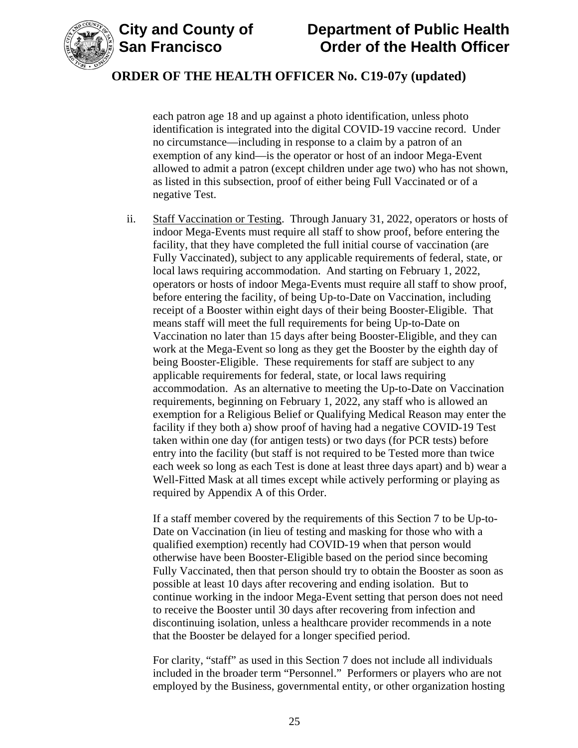

**City and County of Department of Public Health Order of the Health Officer** 

### **ORDER OF THE HEALTH OFFICER No. C19-07y (updated)**

each patron age 18 and up against a photo identification, unless photo identification is integrated into the digital COVID-19 vaccine record. Under no circumstance—including in response to a claim by a patron of an exemption of any kind—is the operator or host of an indoor Mega-Event allowed to admit a patron (except children under age two) who has not shown, as listed in this subsection, proof of either being Full Vaccinated or of a negative Test.

ii. Staff Vaccination or Testing. Through January 31, 2022, operators or hosts of indoor Mega-Events must require all staff to show proof, before entering the facility, that they have completed the full initial course of vaccination (are Fully Vaccinated), subject to any applicable requirements of federal, state, or local laws requiring accommodation. And starting on February 1, 2022, operators or hosts of indoor Mega-Events must require all staff to show proof, before entering the facility, of being Up-to-Date on Vaccination, including receipt of a Booster within eight days of their being Booster-Eligible. That means staff will meet the full requirements for being Up-to-Date on Vaccination no later than 15 days after being Booster-Eligible, and they can work at the Mega-Event so long as they get the Booster by the eighth day of being Booster-Eligible. These requirements for staff are subject to any applicable requirements for federal, state, or local laws requiring accommodation. As an alternative to meeting the Up-to-Date on Vaccination requirements, beginning on February 1, 2022, any staff who is allowed an exemption for a Religious Belief or Qualifying Medical Reason may enter the facility if they both a) show proof of having had a negative COVID-19 Test taken within one day (for antigen tests) or two days (for PCR tests) before entry into the facility (but staff is not required to be Tested more than twice each week so long as each Test is done at least three days apart) and b) wear a Well-Fitted Mask at all times except while actively performing or playing as required by Appendix A of this Order.

If a staff member covered by the requirements of this Section 7 to be Up-to-Date on Vaccination (in lieu of testing and masking for those who with a qualified exemption) recently had COVID-19 when that person would otherwise have been Booster-Eligible based on the period since becoming Fully Vaccinated, then that person should try to obtain the Booster as soon as possible at least 10 days after recovering and ending isolation. But to continue working in the indoor Mega-Event setting that person does not need to receive the Booster until 30 days after recovering from infection and discontinuing isolation, unless a healthcare provider recommends in a note that the Booster be delayed for a longer specified period.

For clarity, "staff" as used in this Section 7 does not include all individuals included in the broader term "Personnel." Performers or players who are not employed by the Business, governmental entity, or other organization hosting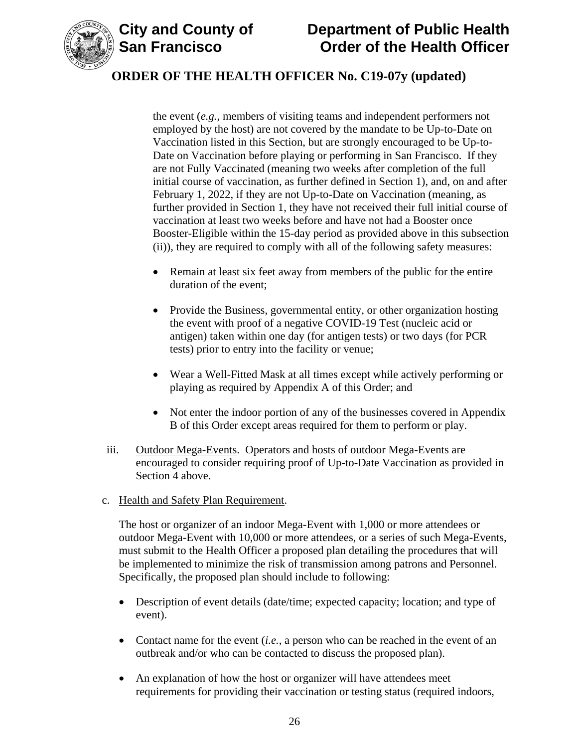

the event (*e.g.*, members of visiting teams and independent performers not employed by the host) are not covered by the mandate to be Up-to-Date on Vaccination listed in this Section, but are strongly encouraged to be Up-to-Date on Vaccination before playing or performing in San Francisco. If they are not Fully Vaccinated (meaning two weeks after completion of the full initial course of vaccination, as further defined in Section 1), and, on and after February 1, 2022, if they are not Up-to-Date on Vaccination (meaning, as further provided in Section 1, they have not received their full initial course of vaccination at least two weeks before and have not had a Booster once Booster-Eligible within the 15-day period as provided above in this subsection (ii)), they are required to comply with all of the following safety measures:

- Remain at least six feet away from members of the public for the entire duration of the event;
- Provide the Business, governmental entity, or other organization hosting the event with proof of a negative COVID-19 Test (nucleic acid or antigen) taken within one day (for antigen tests) or two days (for PCR tests) prior to entry into the facility or venue;
- Wear a Well-Fitted Mask at all times except while actively performing or playing as required by Appendix A of this Order; and
- Not enter the indoor portion of any of the businesses covered in Appendix B of this Order except areas required for them to perform or play.
- iii. Outdoor Mega-Events. Operators and hosts of outdoor Mega-Events are encouraged to consider requiring proof of Up-to-Date Vaccination as provided in Section 4 above.
- c. Health and Safety Plan Requirement.

The host or organizer of an indoor Mega-Event with 1,000 or more attendees or outdoor Mega-Event with 10,000 or more attendees, or a series of such Mega-Events, must submit to the Health Officer a proposed plan detailing the procedures that will be implemented to minimize the risk of transmission among patrons and Personnel. Specifically, the proposed plan should include to following:

- Description of event details (date/time; expected capacity; location; and type of event).
- Contact name for the event *(i.e., a person who can be reached in the event of an* outbreak and/or who can be contacted to discuss the proposed plan).
- An explanation of how the host or organizer will have attendees meet requirements for providing their vaccination or testing status (required indoors,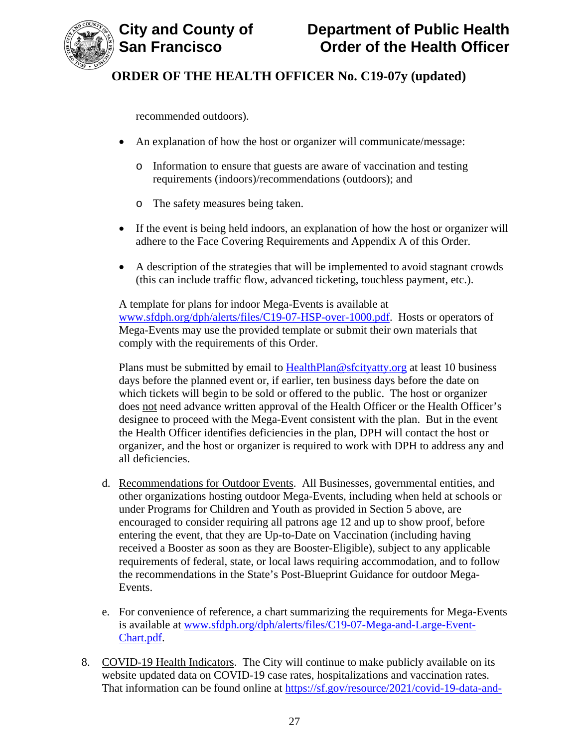

recommended outdoors).

- An explanation of how the host or organizer will communicate/message:
	- o Information to ensure that guests are aware of vaccination and testing requirements (indoors)/recommendations (outdoors); and
	- o The safety measures being taken.
- If the event is being held indoors, an explanation of how the host or organizer will adhere to the Face Covering Requirements and Appendix A of this Order.
- A description of the strategies that will be implemented to avoid stagnant crowds (this can include traffic flow, advanced ticketing, touchless payment, etc.).

A template for plans for indoor Mega-Events is available at [www.sfdph.org/dph/alerts/files/C19-07-HSP-over-1000.pdf.](https://www.sfdph.org/dph/alerts/files/C19-07-HSP-over-1000.pdf) Hosts or operators of Mega-Events may use the provided template or submit their own materials that comply with the requirements of this Order.

Plans must be submitted by email to [HealthPlan@sfcityatty.org](mailto:HealthPlan@sfcityatty.org) at least 10 business days before the planned event or, if earlier, ten business days before the date on which tickets will begin to be sold or offered to the public. The host or organizer does not need advance written approval of the Health Officer or the Health Officer's designee to proceed with the Mega-Event consistent with the plan. But in the event the Health Officer identifies deficiencies in the plan, DPH will contact the host or organizer, and the host or organizer is required to work with DPH to address any and all deficiencies.

- d. Recommendations for Outdoor Events. All Businesses, governmental entities, and other organizations hosting outdoor Mega-Events, including when held at schools or under Programs for Children and Youth as provided in Section 5 above, are encouraged to consider requiring all patrons age 12 and up to show proof, before entering the event, that they are Up-to-Date on Vaccination (including having received a Booster as soon as they are Booster-Eligible), subject to any applicable requirements of federal, state, or local laws requiring accommodation, and to follow the recommendations in the State's Post-Blueprint Guidance for outdoor Mega-Events.
- e. For convenience of reference, a chart summarizing the requirements for Mega-Events is available at [www.sfdph.org/dph/alerts/files/C19-07-Mega-and-Large-Event-](https://www.sfdph.org/dph/alerts/files/C19-07-Mega-and-Large-Event-Chart.pdf)[Chart.pdf.](https://www.sfdph.org/dph/alerts/files/C19-07-Mega-and-Large-Event-Chart.pdf)
- 8. COVID-19 Health Indicators. The City will continue to make publicly available on its website updated data on COVID-19 case rates, hospitalizations and vaccination rates. That information can be found online at [https://sf.gov/resource/2021/covid-19-data-and-](https://sf.gov/resource/2021/covid-19-data-and-reports)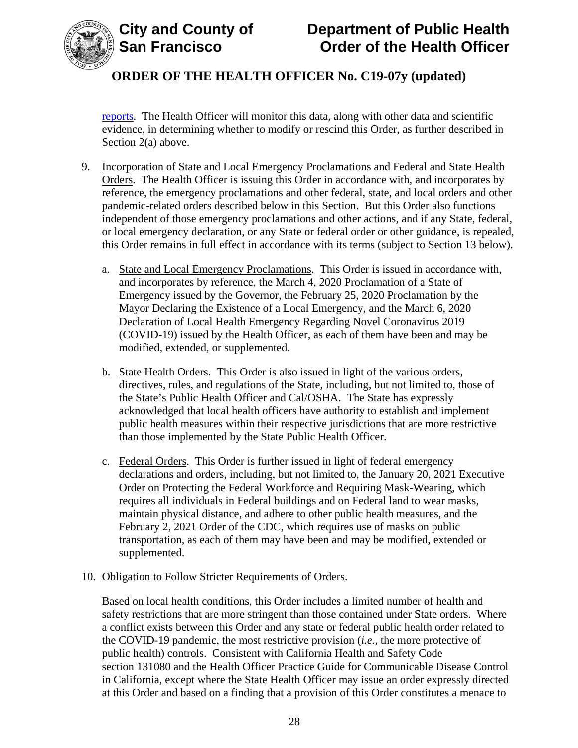

[reports.](https://sf.gov/resource/2021/covid-19-data-and-reports) The Health Officer will monitor this data, along with other data and scientific evidence, in determining whether to modify or rescind this Order, as further described in Section 2(a) above.

- 9. Incorporation of State and Local Emergency Proclamations and Federal and State Health Orders. The Health Officer is issuing this Order in accordance with, and incorporates by reference, the emergency proclamations and other federal, state, and local orders and other pandemic-related orders described below in this Section. But this Order also functions independent of those emergency proclamations and other actions, and if any State, federal, or local emergency declaration, or any State or federal order or other guidance, is repealed, this Order remains in full effect in accordance with its terms (subject to Section 13 below).
	- a. State and Local Emergency Proclamations. This Order is issued in accordance with, and incorporates by reference, the March 4, 2020 Proclamation of a State of Emergency issued by the Governor, the February 25, 2020 Proclamation by the Mayor Declaring the Existence of a Local Emergency, and the March 6, 2020 Declaration of Local Health Emergency Regarding Novel Coronavirus 2019 (COVID-19) issued by the Health Officer, as each of them have been and may be modified, extended, or supplemented.
	- b. State Health Orders. This Order is also issued in light of the various orders, directives, rules, and regulations of the State, including, but not limited to, those of the State's Public Health Officer and Cal/OSHA. The State has expressly acknowledged that local health officers have authority to establish and implement public health measures within their respective jurisdictions that are more restrictive than those implemented by the State Public Health Officer.
	- c. Federal Orders. This Order is further issued in light of federal emergency declarations and orders, including, but not limited to, the January 20, 2021 Executive Order on Protecting the Federal Workforce and Requiring Mask-Wearing, which requires all individuals in Federal buildings and on Federal land to wear masks, maintain physical distance, and adhere to other public health measures, and the February 2, 2021 Order of the CDC, which requires use of masks on public transportation, as each of them may have been and may be modified, extended or supplemented.

#### 10. Obligation to Follow Stricter Requirements of Orders.

Based on local health conditions, this Order includes a limited number of health and safety restrictions that are more stringent than those contained under State orders. Where a conflict exists between this Order and any state or federal public health order related to the COVID-19 pandemic, the most restrictive provision (*i.e.*, the more protective of public health) controls. Consistent with California Health and Safety Code section 131080 and the Health Officer Practice Guide for Communicable Disease Control in California, except where the State Health Officer may issue an order expressly directed at this Order and based on a finding that a provision of this Order constitutes a menace to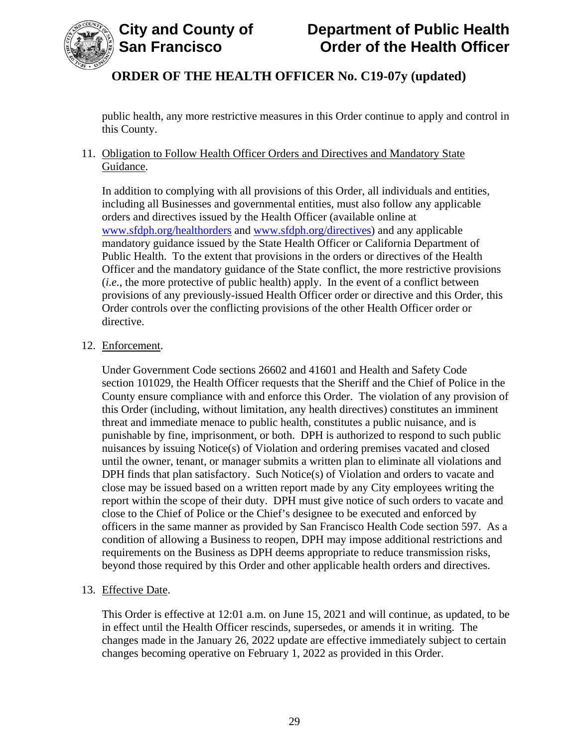

public health, any more restrictive measures in this Order continue to apply and control in this County.

11. Obligation to Follow Health Officer Orders and Directives and Mandatory State Guidance.

In addition to complying with all provisions of this Order, all individuals and entities, including all Businesses and governmental entities, must also follow any applicable orders and directives issued by the Health Officer (available online at [www.sfdph.org/healthorders](http://www.sfdph.org/healthorders) and [www.sfdph.org/directives\)](https://www.sfdph.org/directives) and any applicable mandatory guidance issued by the State Health Officer or California Department of Public Health. To the extent that provisions in the orders or directives of the Health Officer and the mandatory guidance of the State conflict, the more restrictive provisions (*i.e.*, the more protective of public health) apply. In the event of a conflict between provisions of any previously-issued Health Officer order or directive and this Order, this Order controls over the conflicting provisions of the other Health Officer order or directive.

#### 12. Enforcement.

Under Government Code sections 26602 and 41601 and Health and Safety Code section 101029, the Health Officer requests that the Sheriff and the Chief of Police in the County ensure compliance with and enforce this Order. The violation of any provision of this Order (including, without limitation, any health directives) constitutes an imminent threat and immediate menace to public health, constitutes a public nuisance, and is punishable by fine, imprisonment, or both. DPH is authorized to respond to such public nuisances by issuing Notice(s) of Violation and ordering premises vacated and closed until the owner, tenant, or manager submits a written plan to eliminate all violations and DPH finds that plan satisfactory. Such Notice(s) of Violation and orders to vacate and close may be issued based on a written report made by any City employees writing the report within the scope of their duty. DPH must give notice of such orders to vacate and close to the Chief of Police or the Chief's designee to be executed and enforced by officers in the same manner as provided by San Francisco Health Code section 597. As a condition of allowing a Business to reopen, DPH may impose additional restrictions and requirements on the Business as DPH deems appropriate to reduce transmission risks, beyond those required by this Order and other applicable health orders and directives.

#### 13. Effective Date.

This Order is effective at 12:01 a.m. on June 15, 2021 and will continue, as updated, to be in effect until the Health Officer rescinds, supersedes, or amends it in writing. The changes made in the January 26, 2022 update are effective immediately subject to certain changes becoming operative on February 1, 2022 as provided in this Order.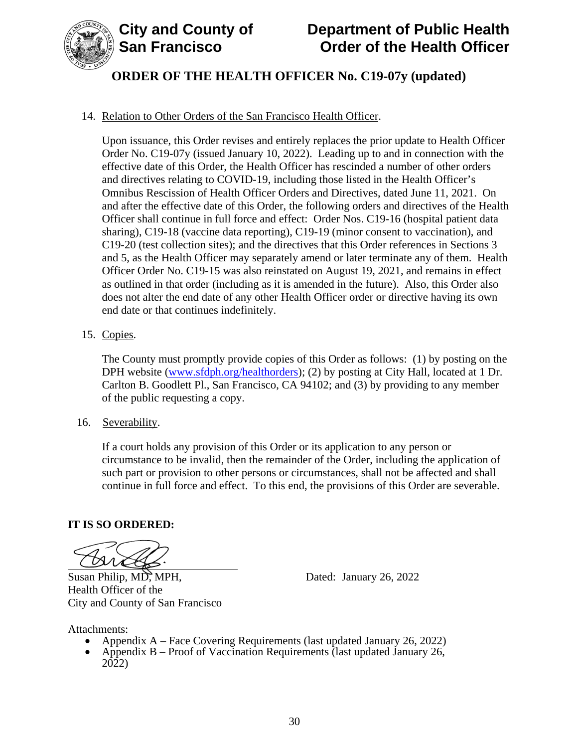

# **City and County of Department of Public Health Order of the Health Officer**

# **ORDER OF THE HEALTH OFFICER No. C19-07y (updated)**

#### 14. Relation to Other Orders of the San Francisco Health Officer.

Upon issuance, this Order revises and entirely replaces the prior update to Health Officer Order No. C19-07y (issued January 10, 2022). Leading up to and in connection with the effective date of this Order, the Health Officer has rescinded a number of other orders and directives relating to COVID-19, including those listed in the Health Officer's Omnibus Rescission of Health Officer Orders and Directives, dated June 11, 2021. On and after the effective date of this Order, the following orders and directives of the Health Officer shall continue in full force and effect: Order Nos. C19-16 (hospital patient data sharing), C19-18 (vaccine data reporting), C19-19 (minor consent to vaccination), and C19-20 (test collection sites); and the directives that this Order references in Sections 3 and 5, as the Health Officer may separately amend or later terminate any of them. Health Officer Order No. C19-15 was also reinstated on August 19, 2021, and remains in effect as outlined in that order (including as it is amended in the future). Also, this Order also does not alter the end date of any other Health Officer order or directive having its own end date or that continues indefinitely.

15. Copies.

The County must promptly provide copies of this Order as follows: (1) by posting on the DPH website (www.sfdph.org/healthorders); (2) by posting at City Hall, located at 1 Dr. Carlton B. Goodlett Pl., San Francisco, CA 94102; and (3) by providing to any member of the public requesting a copy.

16. Severability.

If a court holds any provision of this Order or its application to any person or circumstance to be invalid, then the remainder of the Order, including the application of such part or provision to other persons or circumstances, shall not be affected and shall continue in full force and effect. To this end, the provisions of this Order are severable.

#### **IT IS SO ORDERED:**

Susan Philip, MD, MPH, Dated: January 26, 2022 Health Officer of the City and County of San Francisco

- Attachments:<br>
Appendix A Face Covering Requirements (last updated January 26, 2022)
	- Appendix B Proof of Vaccination Requirements (last updated January 26, 2022)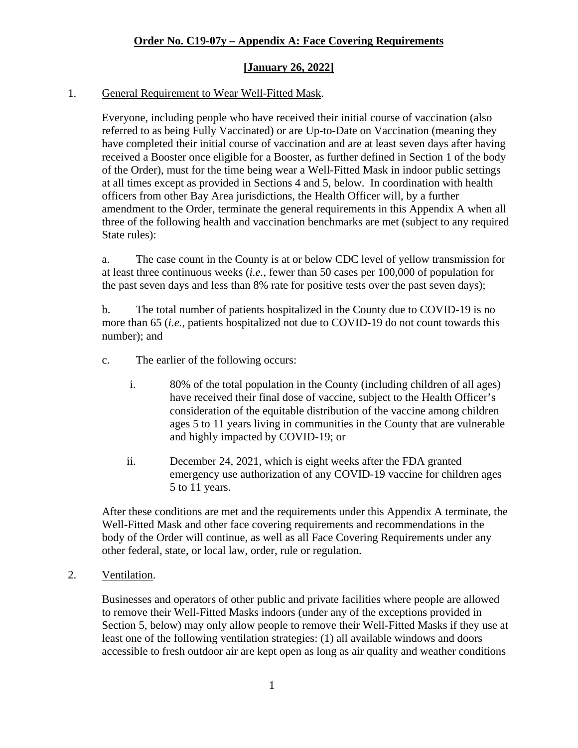#### 1. General Requirement to Wear Well-Fitted Mask.

Everyone, including people who have received their initial course of vaccination (also referred to as being Fully Vaccinated) or are Up-to-Date on Vaccination (meaning they have completed their initial course of vaccination and are at least seven days after having received a Booster once eligible for a Booster, as further defined in Section 1 of the body of the Order), must for the time being wear a Well-Fitted Mask in indoor public settings at all times except as provided in Sections 4 and 5, below. In coordination with health officers from other Bay Area jurisdictions, the Health Officer will, by a further amendment to the Order, terminate the general requirements in this Appendix A when all three of the following health and vaccination benchmarks are met (subject to any required State rules):

a. The case count in the County is at or below CDC level of yellow transmission for at least three continuous weeks (*i.e.*, fewer than 50 cases per 100,000 of population for the past seven days and less than 8% rate for positive tests over the past seven days);

b. The total number of patients hospitalized in the County due to COVID-19 is no more than 65 (*i.e.*, patients hospitalized not due to COVID-19 do not count towards this number); and

- c. The earlier of the following occurs:
	- i. 80% of the total population in the County (including children of all ages) have received their final dose of vaccine, subject to the Health Officer's consideration of the equitable distribution of the vaccine among children ages 5 to 11 years living in communities in the County that are vulnerable and highly impacted by COVID-19; or
	- ii. December 24, 2021, which is eight weeks after the FDA granted emergency use authorization of any COVID-19 vaccine for children ages 5 to 11 years.

After these conditions are met and the requirements under this Appendix A terminate, the Well-Fitted Mask and other face covering requirements and recommendations in the body of the Order will continue, as well as all Face Covering Requirements under any other federal, state, or local law, order, rule or regulation.

#### 2. Ventilation.

Businesses and operators of other public and private facilities where people are allowed to remove their Well-Fitted Masks indoors (under any of the exceptions provided in Section 5, below) may only allow people to remove their Well-Fitted Masks if they use at least one of the following ventilation strategies: (1) all available windows and doors accessible to fresh outdoor air are kept open as long as air quality and weather conditions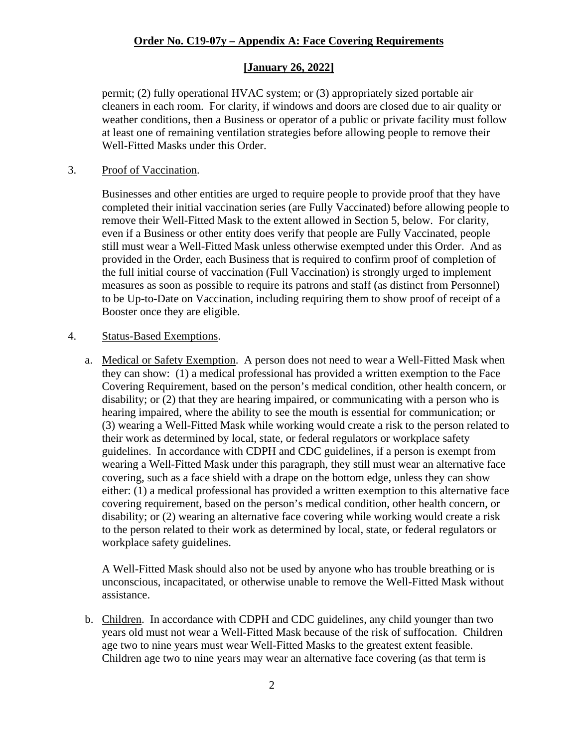#### **[January 26, 2022]**

permit; (2) fully operational HVAC system; or (3) appropriately sized portable air cleaners in each room. For clarity, if windows and doors are closed due to air quality or weather conditions, then a Business or operator of a public or private facility must follow at least one of remaining ventilation strategies before allowing people to remove their Well-Fitted Masks under this Order.

#### 3. Proof of Vaccination.

Businesses and other entities are urged to require people to provide proof that they have completed their initial vaccination series (are Fully Vaccinated) before allowing people to remove their Well-Fitted Mask to the extent allowed in Section 5, below. For clarity, even if a Business or other entity does verify that people are Fully Vaccinated, people still must wear a Well-Fitted Mask unless otherwise exempted under this Order. And as provided in the Order, each Business that is required to confirm proof of completion of the full initial course of vaccination (Full Vaccination) is strongly urged to implement measures as soon as possible to require its patrons and staff (as distinct from Personnel) to be Up-to-Date on Vaccination, including requiring them to show proof of receipt of a Booster once they are eligible.

#### 4. Status-Based Exemptions.

a. Medical or Safety Exemption. A person does not need to wear a Well-Fitted Mask when they can show: (1) a medical professional has provided a written exemption to the Face Covering Requirement, based on the person's medical condition, other health concern, or disability; or (2) that they are hearing impaired, or communicating with a person who is hearing impaired, where the ability to see the mouth is essential for communication; or (3) wearing a Well-Fitted Mask while working would create a risk to the person related to their work as determined by local, state, or federal regulators or workplace safety guidelines. In accordance with CDPH and CDC guidelines, if a person is exempt from wearing a Well-Fitted Mask under this paragraph, they still must wear an alternative face covering, such as a face shield with a drape on the bottom edge, unless they can show either: (1) a medical professional has provided a written exemption to this alternative face covering requirement, based on the person's medical condition, other health concern, or disability; or (2) wearing an alternative face covering while working would create a risk to the person related to their work as determined by local, state, or federal regulators or workplace safety guidelines.

A Well-Fitted Mask should also not be used by anyone who has trouble breathing or is unconscious, incapacitated, or otherwise unable to remove the Well-Fitted Mask without assistance.

b. Children. In accordance with CDPH and CDC guidelines, any child younger than two years old must not wear a Well-Fitted Mask because of the risk of suffocation. Children age two to nine years must wear Well-Fitted Masks to the greatest extent feasible. Children age two to nine years may wear an alternative face covering (as that term is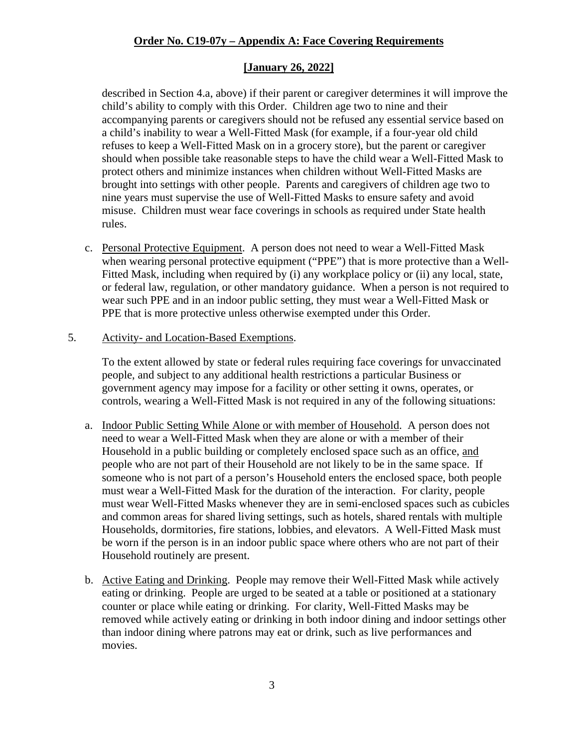#### **[January 26, 2022]**

described in Section 4.a, above) if their parent or caregiver determines it will improve the child's ability to comply with this Order. Children age two to nine and their accompanying parents or caregivers should not be refused any essential service based on a child's inability to wear a Well-Fitted Mask (for example, if a four-year old child refuses to keep a Well-Fitted Mask on in a grocery store), but the parent or caregiver should when possible take reasonable steps to have the child wear a Well-Fitted Mask to protect others and minimize instances when children without Well-Fitted Masks are brought into settings with other people. Parents and caregivers of children age two to nine years must supervise the use of Well-Fitted Masks to ensure safety and avoid misuse. Children must wear face coverings in schools as required under State health rules.

- c. Personal Protective Equipment. A person does not need to wear a Well-Fitted Mask when wearing personal protective equipment ("PPE") that is more protective than a Well-Fitted Mask, including when required by (i) any workplace policy or (ii) any local, state, or federal law, regulation, or other mandatory guidance. When a person is not required to wear such PPE and in an indoor public setting, they must wear a Well-Fitted Mask or PPE that is more protective unless otherwise exempted under this Order.
- 5. Activity- and Location-Based Exemptions.

To the extent allowed by state or federal rules requiring face coverings for unvaccinated people, and subject to any additional health restrictions a particular Business or government agency may impose for a facility or other setting it owns, operates, or controls, wearing a Well-Fitted Mask is not required in any of the following situations:

- a. Indoor Public Setting While Alone or with member of Household. A person does not need to wear a Well-Fitted Mask when they are alone or with a member of their Household in a public building or completely enclosed space such as an office, and people who are not part of their Household are not likely to be in the same space. If someone who is not part of a person's Household enters the enclosed space, both people must wear a Well-Fitted Mask for the duration of the interaction. For clarity, people must wear Well-Fitted Masks whenever they are in semi-enclosed spaces such as cubicles and common areas for shared living settings, such as hotels, shared rentals with multiple Households, dormitories, fire stations, lobbies, and elevators. A Well-Fitted Mask must be worn if the person is in an indoor public space where others who are not part of their Household routinely are present.
- b. Active Eating and Drinking. People may remove their Well-Fitted Mask while actively eating or drinking. People are urged to be seated at a table or positioned at a stationary counter or place while eating or drinking. For clarity, Well-Fitted Masks may be removed while actively eating or drinking in both indoor dining and indoor settings other than indoor dining where patrons may eat or drink, such as live performances and movies.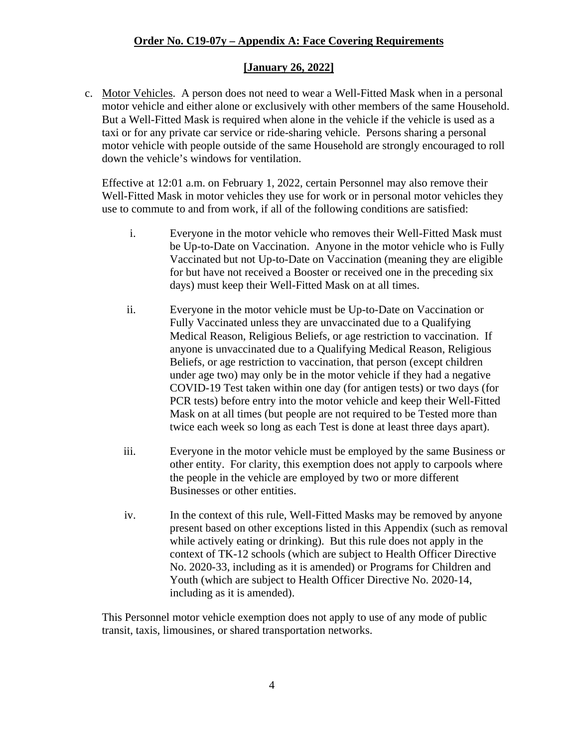#### **[January 26, 2022]**

c. Motor Vehicles. A person does not need to wear a Well-Fitted Mask when in a personal motor vehicle and either alone or exclusively with other members of the same Household. But a Well-Fitted Mask is required when alone in the vehicle if the vehicle is used as a taxi or for any private car service or ride-sharing vehicle. Persons sharing a personal motor vehicle with people outside of the same Household are strongly encouraged to roll down the vehicle's windows for ventilation.

Effective at 12:01 a.m. on February 1, 2022, certain Personnel may also remove their Well-Fitted Mask in motor vehicles they use for work or in personal motor vehicles they use to commute to and from work, if all of the following conditions are satisfied:

- i. Everyone in the motor vehicle who removes their Well-Fitted Mask must be Up-to-Date on Vaccination. Anyone in the motor vehicle who is Fully Vaccinated but not Up-to-Date on Vaccination (meaning they are eligible for but have not received a Booster or received one in the preceding six days) must keep their Well-Fitted Mask on at all times.
- ii. Everyone in the motor vehicle must be Up-to-Date on Vaccination or Fully Vaccinated unless they are unvaccinated due to a Qualifying Medical Reason, Religious Beliefs, or age restriction to vaccination. If anyone is unvaccinated due to a Qualifying Medical Reason, Religious Beliefs, or age restriction to vaccination, that person (except children under age two) may only be in the motor vehicle if they had a negative COVID-19 Test taken within one day (for antigen tests) or two days (for PCR tests) before entry into the motor vehicle and keep their Well-Fitted Mask on at all times (but people are not required to be Tested more than twice each week so long as each Test is done at least three days apart).
- iii. Everyone in the motor vehicle must be employed by the same Business or other entity. For clarity, this exemption does not apply to carpools where the people in the vehicle are employed by two or more different Businesses or other entities.
- iv. In the context of this rule, Well-Fitted Masks may be removed by anyone present based on other exceptions listed in this Appendix (such as removal while actively eating or drinking). But this rule does not apply in the context of TK-12 schools (which are subject to Health Officer Directive No. 2020-33, including as it is amended) or Programs for Children and Youth (which are subject to Health Officer Directive No. 2020-14, including as it is amended).

This Personnel motor vehicle exemption does not apply to use of any mode of public transit, taxis, limousines, or shared transportation networks.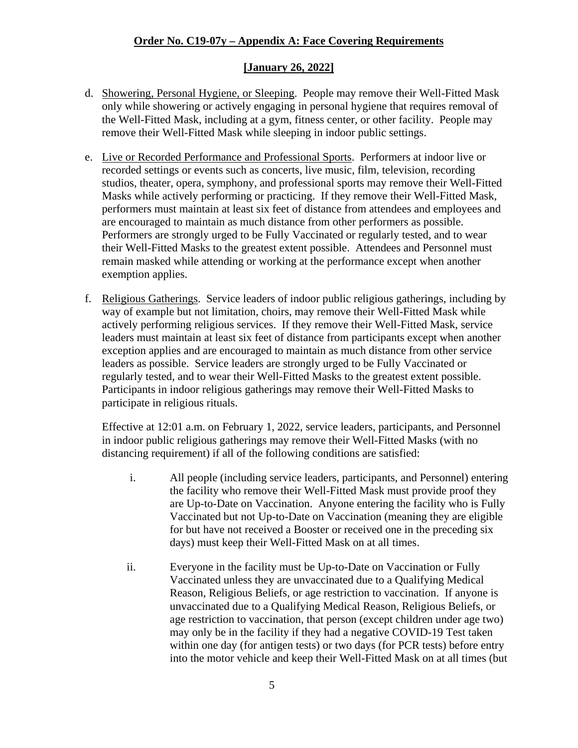#### **[January 26, 2022]**

- d. Showering, Personal Hygiene, or Sleeping. People may remove their Well-Fitted Mask only while showering or actively engaging in personal hygiene that requires removal of the Well-Fitted Mask, including at a gym, fitness center, or other facility. People may remove their Well-Fitted Mask while sleeping in indoor public settings.
- e. Live or Recorded Performance and Professional Sports. Performers at indoor live or recorded settings or events such as concerts, live music, film, television, recording studios, theater, opera, symphony, and professional sports may remove their Well-Fitted Masks while actively performing or practicing. If they remove their Well-Fitted Mask, performers must maintain at least six feet of distance from attendees and employees and are encouraged to maintain as much distance from other performers as possible. Performers are strongly urged to be Fully Vaccinated or regularly tested, and to wear their Well-Fitted Masks to the greatest extent possible. Attendees and Personnel must remain masked while attending or working at the performance except when another exemption applies.
- f. Religious Gatherings. Service leaders of indoor public religious gatherings, including by way of example but not limitation, choirs, may remove their Well-Fitted Mask while actively performing religious services. If they remove their Well-Fitted Mask, service leaders must maintain at least six feet of distance from participants except when another exception applies and are encouraged to maintain as much distance from other service leaders as possible. Service leaders are strongly urged to be Fully Vaccinated or regularly tested, and to wear their Well-Fitted Masks to the greatest extent possible. Participants in indoor religious gatherings may remove their Well-Fitted Masks to participate in religious rituals.

Effective at 12:01 a.m. on February 1, 2022, service leaders, participants, and Personnel in indoor public religious gatherings may remove their Well-Fitted Masks (with no distancing requirement) if all of the following conditions are satisfied:

- i. All people (including service leaders, participants, and Personnel) entering the facility who remove their Well-Fitted Mask must provide proof they are Up-to-Date on Vaccination. Anyone entering the facility who is Fully Vaccinated but not Up-to-Date on Vaccination (meaning they are eligible for but have not received a Booster or received one in the preceding six days) must keep their Well-Fitted Mask on at all times.
- ii. Everyone in the facility must be Up-to-Date on Vaccination or Fully Vaccinated unless they are unvaccinated due to a Qualifying Medical Reason, Religious Beliefs, or age restriction to vaccination. If anyone is unvaccinated due to a Qualifying Medical Reason, Religious Beliefs, or age restriction to vaccination, that person (except children under age two) may only be in the facility if they had a negative COVID-19 Test taken within one day (for antigen tests) or two days (for PCR tests) before entry into the motor vehicle and keep their Well-Fitted Mask on at all times (but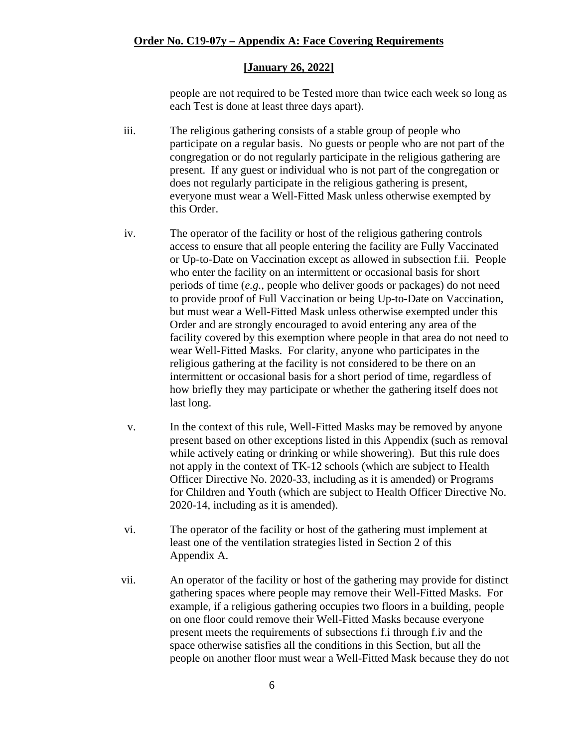people are not required to be Tested more than twice each week so long as each Test is done at least three days apart).

- iii. The religious gathering consists of a stable group of people who participate on a regular basis. No guests or people who are not part of the congregation or do not regularly participate in the religious gathering are present. If any guest or individual who is not part of the congregation or does not regularly participate in the religious gathering is present, everyone must wear a Well-Fitted Mask unless otherwise exempted by this Order.
- iv. The operator of the facility or host of the religious gathering controls access to ensure that all people entering the facility are Fully Vaccinated or Up-to-Date on Vaccination except as allowed in subsection f.ii. People who enter the facility on an intermittent or occasional basis for short periods of time (*e.g.*, people who deliver goods or packages) do not need to provide proof of Full Vaccination or being Up-to-Date on Vaccination, but must wear a Well-Fitted Mask unless otherwise exempted under this Order and are strongly encouraged to avoid entering any area of the facility covered by this exemption where people in that area do not need to wear Well-Fitted Masks. For clarity, anyone who participates in the religious gathering at the facility is not considered to be there on an intermittent or occasional basis for a short period of time, regardless of how briefly they may participate or whether the gathering itself does not last long.
- v. In the context of this rule, Well-Fitted Masks may be removed by anyone present based on other exceptions listed in this Appendix (such as removal while actively eating or drinking or while showering). But this rule does not apply in the context of TK-12 schools (which are subject to Health Officer Directive No. 2020-33, including as it is amended) or Programs for Children and Youth (which are subject to Health Officer Directive No. 2020-14, including as it is amended).
- vi. The operator of the facility or host of the gathering must implement at least one of the ventilation strategies listed in Section 2 of this Appendix A.
- vii. An operator of the facility or host of the gathering may provide for distinct gathering spaces where people may remove their Well-Fitted Masks. For example, if a religious gathering occupies two floors in a building, people on one floor could remove their Well-Fitted Masks because everyone present meets the requirements of subsections f.i through f.iv and the space otherwise satisfies all the conditions in this Section, but all the people on another floor must wear a Well-Fitted Mask because they do not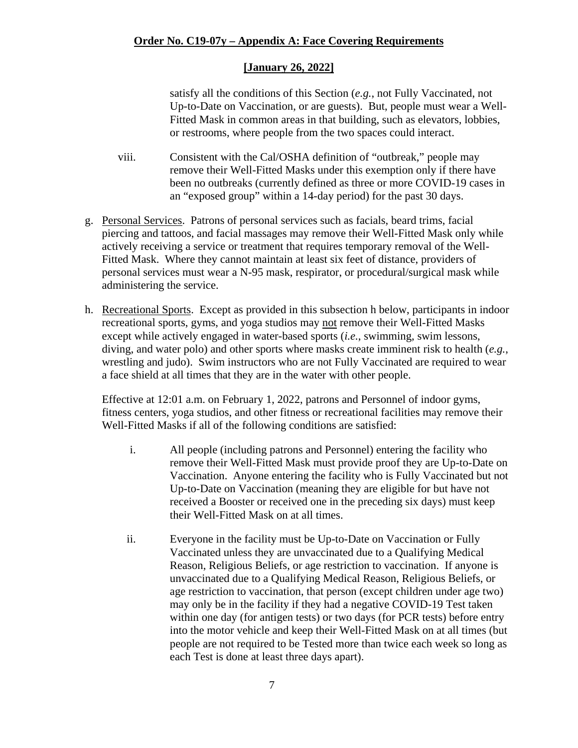satisfy all the conditions of this Section (*e.g.*, not Fully Vaccinated, not Up-to-Date on Vaccination, or are guests). But, people must wear a Well-Fitted Mask in common areas in that building, such as elevators, lobbies, or restrooms, where people from the two spaces could interact.

- viii. Consistent with the Cal/OSHA definition of "outbreak," people may remove their Well-Fitted Masks under this exemption only if there have been no outbreaks (currently defined as three or more COVID-19 cases in an "exposed group" within a 14-day period) for the past 30 days.
- g. Personal Services. Patrons of personal services such as facials, beard trims, facial piercing and tattoos, and facial massages may remove their Well-Fitted Mask only while actively receiving a service or treatment that requires temporary removal of the Well-Fitted Mask. Where they cannot maintain at least six feet of distance, providers of personal services must wear a N-95 mask, respirator, or procedural/surgical mask while administering the service.
- h. Recreational Sports. Except as provided in this subsection h below, participants in indoor recreational sports, gyms, and yoga studios may not remove their Well-Fitted Masks except while actively engaged in water-based sports (*i.e.*, swimming, swim lessons, diving, and water polo) and other sports where masks create imminent risk to health (*e.g.*, wrestling and judo). Swim instructors who are not Fully Vaccinated are required to wear a face shield at all times that they are in the water with other people.

Effective at 12:01 a.m. on February 1, 2022, patrons and Personnel of indoor gyms, fitness centers, yoga studios, and other fitness or recreational facilities may remove their Well-Fitted Masks if all of the following conditions are satisfied:

- i. All people (including patrons and Personnel) entering the facility who remove their Well-Fitted Mask must provide proof they are Up-to-Date on Vaccination. Anyone entering the facility who is Fully Vaccinated but not Up-to-Date on Vaccination (meaning they are eligible for but have not received a Booster or received one in the preceding six days) must keep their Well-Fitted Mask on at all times.
- ii. Everyone in the facility must be Up-to-Date on Vaccination or Fully Vaccinated unless they are unvaccinated due to a Qualifying Medical Reason, Religious Beliefs, or age restriction to vaccination. If anyone is unvaccinated due to a Qualifying Medical Reason, Religious Beliefs, or age restriction to vaccination, that person (except children under age two) may only be in the facility if they had a negative COVID-19 Test taken within one day (for antigen tests) or two days (for PCR tests) before entry into the motor vehicle and keep their Well-Fitted Mask on at all times (but people are not required to be Tested more than twice each week so long as each Test is done at least three days apart).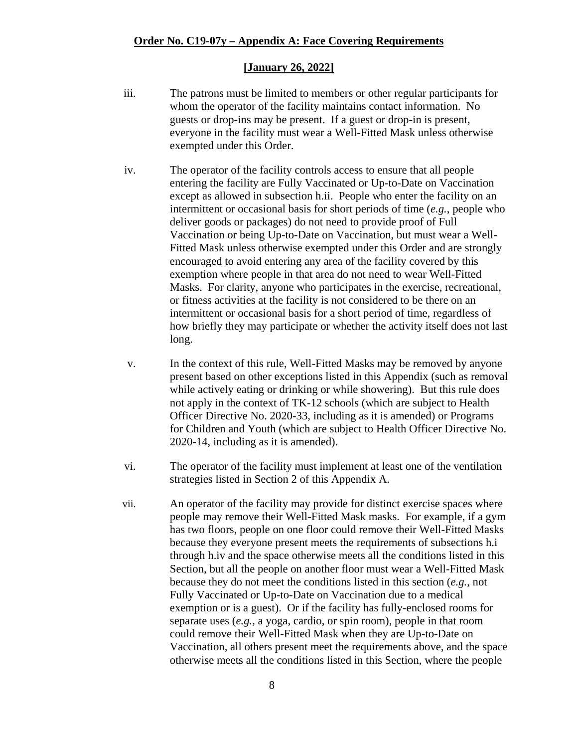- iii. The patrons must be limited to members or other regular participants for whom the operator of the facility maintains contact information. No guests or drop-ins may be present. If a guest or drop-in is present, everyone in the facility must wear a Well-Fitted Mask unless otherwise exempted under this Order.
- iv. The operator of the facility controls access to ensure that all people entering the facility are Fully Vaccinated or Up-to-Date on Vaccination except as allowed in subsection h.ii. People who enter the facility on an intermittent or occasional basis for short periods of time (*e.g.*, people who deliver goods or packages) do not need to provide proof of Full Vaccination or being Up-to-Date on Vaccination, but must wear a Well-Fitted Mask unless otherwise exempted under this Order and are strongly encouraged to avoid entering any area of the facility covered by this exemption where people in that area do not need to wear Well-Fitted Masks. For clarity, anyone who participates in the exercise, recreational, or fitness activities at the facility is not considered to be there on an intermittent or occasional basis for a short period of time, regardless of how briefly they may participate or whether the activity itself does not last long.
- v. In the context of this rule, Well-Fitted Masks may be removed by anyone present based on other exceptions listed in this Appendix (such as removal while actively eating or drinking or while showering). But this rule does not apply in the context of TK-12 schools (which are subject to Health Officer Directive No. 2020-33, including as it is amended) or Programs for Children and Youth (which are subject to Health Officer Directive No. 2020-14, including as it is amended).
- vi. The operator of the facility must implement at least one of the ventilation strategies listed in Section 2 of this Appendix A.
- vii. An operator of the facility may provide for distinct exercise spaces where people may remove their Well-Fitted Mask masks. For example, if a gym has two floors, people on one floor could remove their Well-Fitted Masks because they everyone present meets the requirements of subsections h.i through h.iv and the space otherwise meets all the conditions listed in this Section, but all the people on another floor must wear a Well-Fitted Mask because they do not meet the conditions listed in this section (*e.g.*, not Fully Vaccinated or Up-to-Date on Vaccination due to a medical exemption or is a guest). Or if the facility has fully-enclosed rooms for separate uses (*e.g.*, a yoga, cardio, or spin room), people in that room could remove their Well-Fitted Mask when they are Up-to-Date on Vaccination, all others present meet the requirements above, and the space otherwise meets all the conditions listed in this Section, where the people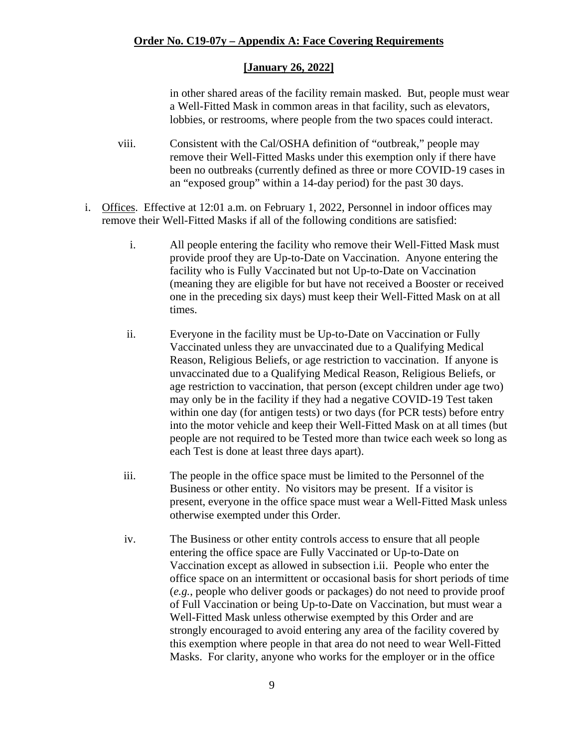in other shared areas of the facility remain masked. But, people must wear a Well-Fitted Mask in common areas in that facility, such as elevators, lobbies, or restrooms, where people from the two spaces could interact.

- viii. Consistent with the Cal/OSHA definition of "outbreak," people may remove their Well-Fitted Masks under this exemption only if there have been no outbreaks (currently defined as three or more COVID-19 cases in an "exposed group" within a 14-day period) for the past 30 days.
- i. Offices. Effective at 12:01 a.m. on February 1, 2022, Personnel in indoor offices may remove their Well-Fitted Masks if all of the following conditions are satisfied:
	- i. All people entering the facility who remove their Well-Fitted Mask must provide proof they are Up-to-Date on Vaccination. Anyone entering the facility who is Fully Vaccinated but not Up-to-Date on Vaccination (meaning they are eligible for but have not received a Booster or received one in the preceding six days) must keep their Well-Fitted Mask on at all times.
	- ii. Everyone in the facility must be Up-to-Date on Vaccination or Fully Vaccinated unless they are unvaccinated due to a Qualifying Medical Reason, Religious Beliefs, or age restriction to vaccination. If anyone is unvaccinated due to a Qualifying Medical Reason, Religious Beliefs, or age restriction to vaccination, that person (except children under age two) may only be in the facility if they had a negative COVID-19 Test taken within one day (for antigen tests) or two days (for PCR tests) before entry into the motor vehicle and keep their Well-Fitted Mask on at all times (but people are not required to be Tested more than twice each week so long as each Test is done at least three days apart).
	- iii. The people in the office space must be limited to the Personnel of the Business or other entity. No visitors may be present. If a visitor is present, everyone in the office space must wear a Well-Fitted Mask unless otherwise exempted under this Order.
	- iv. The Business or other entity controls access to ensure that all people entering the office space are Fully Vaccinated or Up-to-Date on Vaccination except as allowed in subsection i.ii. People who enter the office space on an intermittent or occasional basis for short periods of time (*e.g.*, people who deliver goods or packages) do not need to provide proof of Full Vaccination or being Up-to-Date on Vaccination, but must wear a Well-Fitted Mask unless otherwise exempted by this Order and are strongly encouraged to avoid entering any area of the facility covered by this exemption where people in that area do not need to wear Well-Fitted Masks. For clarity, anyone who works for the employer or in the office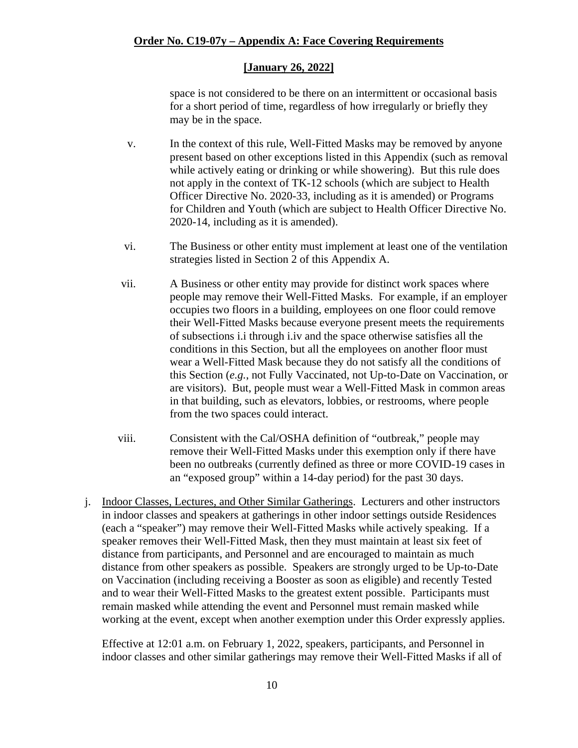space is not considered to be there on an intermittent or occasional basis for a short period of time, regardless of how irregularly or briefly they may be in the space.

- v. In the context of this rule, Well-Fitted Masks may be removed by anyone present based on other exceptions listed in this Appendix (such as removal while actively eating or drinking or while showering). But this rule does not apply in the context of TK-12 schools (which are subject to Health Officer Directive No. 2020-33, including as it is amended) or Programs for Children and Youth (which are subject to Health Officer Directive No. 2020-14, including as it is amended).
- vi. The Business or other entity must implement at least one of the ventilation strategies listed in Section 2 of this Appendix A.
- vii. A Business or other entity may provide for distinct work spaces where people may remove their Well-Fitted Masks. For example, if an employer occupies two floors in a building, employees on one floor could remove their Well-Fitted Masks because everyone present meets the requirements of subsections i.i through i.iv and the space otherwise satisfies all the conditions in this Section, but all the employees on another floor must wear a Well-Fitted Mask because they do not satisfy all the conditions of this Section (*e.g.*, not Fully Vaccinated, not Up-to-Date on Vaccination, or are visitors). But, people must wear a Well-Fitted Mask in common areas in that building, such as elevators, lobbies, or restrooms, where people from the two spaces could interact.
- viii. Consistent with the Cal/OSHA definition of "outbreak," people may remove their Well-Fitted Masks under this exemption only if there have been no outbreaks (currently defined as three or more COVID-19 cases in an "exposed group" within a 14-day period) for the past 30 days.
- j. Indoor Classes, Lectures, and Other Similar Gatherings. Lecturers and other instructors in indoor classes and speakers at gatherings in other indoor settings outside Residences (each a "speaker") may remove their Well-Fitted Masks while actively speaking. If a speaker removes their Well-Fitted Mask, then they must maintain at least six feet of distance from participants, and Personnel and are encouraged to maintain as much distance from other speakers as possible. Speakers are strongly urged to be Up-to-Date on Vaccination (including receiving a Booster as soon as eligible) and recently Tested and to wear their Well-Fitted Masks to the greatest extent possible. Participants must remain masked while attending the event and Personnel must remain masked while working at the event, except when another exemption under this Order expressly applies.

Effective at 12:01 a.m. on February 1, 2022, speakers, participants, and Personnel in indoor classes and other similar gatherings may remove their Well-Fitted Masks if all of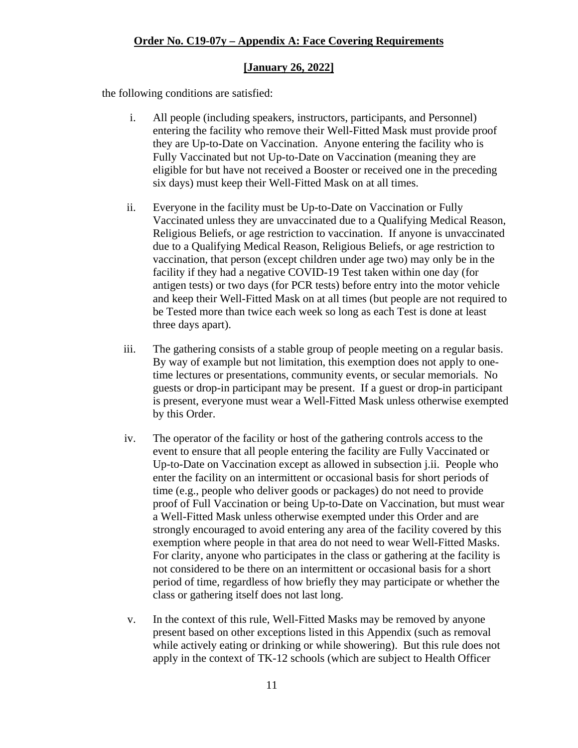#### **[January 26, 2022]**

the following conditions are satisfied:

- i. All people (including speakers, instructors, participants, and Personnel) entering the facility who remove their Well-Fitted Mask must provide proof they are Up-to-Date on Vaccination. Anyone entering the facility who is Fully Vaccinated but not Up-to-Date on Vaccination (meaning they are eligible for but have not received a Booster or received one in the preceding six days) must keep their Well-Fitted Mask on at all times.
- ii. Everyone in the facility must be Up-to-Date on Vaccination or Fully Vaccinated unless they are unvaccinated due to a Qualifying Medical Reason, Religious Beliefs, or age restriction to vaccination. If anyone is unvaccinated due to a Qualifying Medical Reason, Religious Beliefs, or age restriction to vaccination, that person (except children under age two) may only be in the facility if they had a negative COVID-19 Test taken within one day (for antigen tests) or two days (for PCR tests) before entry into the motor vehicle and keep their Well-Fitted Mask on at all times (but people are not required to be Tested more than twice each week so long as each Test is done at least three days apart).
- iii. The gathering consists of a stable group of people meeting on a regular basis. By way of example but not limitation, this exemption does not apply to onetime lectures or presentations, community events, or secular memorials. No guests or drop-in participant may be present. If a guest or drop-in participant is present, everyone must wear a Well-Fitted Mask unless otherwise exempted by this Order.
- iv. The operator of the facility or host of the gathering controls access to the event to ensure that all people entering the facility are Fully Vaccinated or Up-to-Date on Vaccination except as allowed in subsection j.ii. People who enter the facility on an intermittent or occasional basis for short periods of time (e.g., people who deliver goods or packages) do not need to provide proof of Full Vaccination or being Up-to-Date on Vaccination, but must wear a Well-Fitted Mask unless otherwise exempted under this Order and are strongly encouraged to avoid entering any area of the facility covered by this exemption where people in that area do not need to wear Well-Fitted Masks. For clarity, anyone who participates in the class or gathering at the facility is not considered to be there on an intermittent or occasional basis for a short period of time, regardless of how briefly they may participate or whether the class or gathering itself does not last long.
- v. In the context of this rule, Well-Fitted Masks may be removed by anyone present based on other exceptions listed in this Appendix (such as removal while actively eating or drinking or while showering). But this rule does not apply in the context of TK-12 schools (which are subject to Health Officer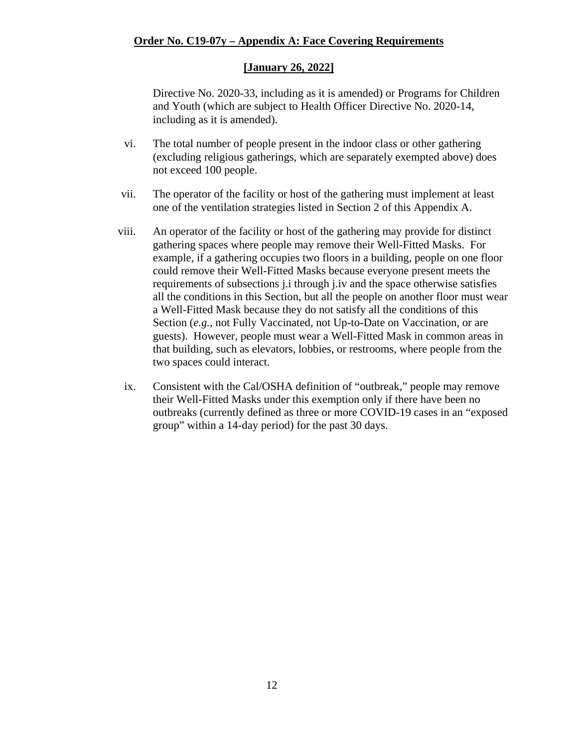#### **[January 26, 2022]**

Directive No. 2020-33, including as it is amended) or Programs for Children and Youth (which are subject to Health Officer Directive No. 2020-14, including as it is amended).

- vi. The total number of people present in the indoor class or other gathering (excluding religious gatherings, which are separately exempted above) does not exceed 100 people.
- vii. The operator of the facility or host of the gathering must implement at least one of the ventilation strategies listed in Section 2 of this Appendix A.
- viii. An operator of the facility or host of the gathering may provide for distinct gathering spaces where people may remove their Well-Fitted Masks. For example, if a gathering occupies two floors in a building, people on one floor could remove their Well-Fitted Masks because everyone present meets the requirements of subsections j.i through j.iv and the space otherwise satisfies all the conditions in this Section, but all the people on another floor must wear a Well-Fitted Mask because they do not satisfy all the conditions of this Section (*e.g.*, not Fully Vaccinated, not Up-to-Date on Vaccination, or are guests). However, people must wear a Well-Fitted Mask in common areas in that building, such as elevators, lobbies, or restrooms, where people from the two spaces could interact.
- ix. Consistent with the Cal/OSHA definition of "outbreak," people may remove their Well-Fitted Masks under this exemption only if there have been no outbreaks (currently defined as three or more COVID-19 cases in an "exposed group" within a 14-day period) for the past 30 days.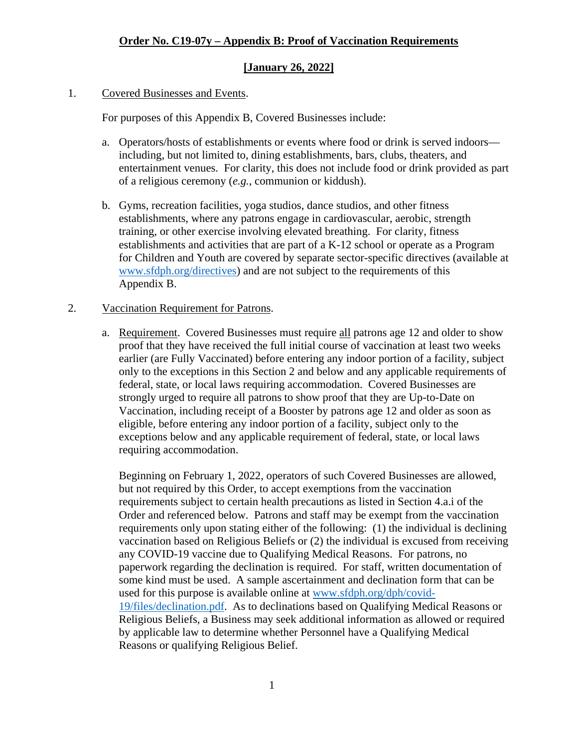#### **[January 26, 2022]**

#### 1. Covered Businesses and Events.

For purposes of this Appendix B, Covered Businesses include:

- a. Operators/hosts of establishments or events where food or drink is served indoors including, but not limited to, dining establishments, bars, clubs, theaters, and entertainment venues. For clarity, this does not include food or drink provided as part of a religious ceremony (*e.g.*, communion or kiddush).
- b. Gyms, recreation facilities, yoga studios, dance studios, and other fitness establishments, where any patrons engage in cardiovascular, aerobic, strength training, or other exercise involving elevated breathing. For clarity, fitness establishments and activities that are part of a K-12 school or operate as a Program for Children and Youth are covered by separate sector-specific directives (available at [www.sfdph.org/directives\)](https://www.sfdph.org/directives) and are not subject to the requirements of this Appendix B.

#### 2. Vaccination Requirement for Patrons.

a. Requirement. Covered Businesses must require all patrons age 12 and older to show proof that they have received the full initial course of vaccination at least two weeks earlier (are Fully Vaccinated) before entering any indoor portion of a facility, subject only to the exceptions in this Section 2 and below and any applicable requirements of federal, state, or local laws requiring accommodation. Covered Businesses are strongly urged to require all patrons to show proof that they are Up-to-Date on Vaccination, including receipt of a Booster by patrons age 12 and older as soon as eligible, before entering any indoor portion of a facility, subject only to the exceptions below and any applicable requirement of federal, state, or local laws requiring accommodation.

Beginning on February 1, 2022, operators of such Covered Businesses are allowed, but not required by this Order, to accept exemptions from the vaccination requirements subject to certain health precautions as listed in Section 4.a.i of the Order and referenced below. Patrons and staff may be exempt from the vaccination requirements only upon stating either of the following: (1) the individual is declining vaccination based on Religious Beliefs or (2) the individual is excused from receiving any COVID-19 vaccine due to Qualifying Medical Reasons. For patrons, no paperwork regarding the declination is required. For staff, written documentation of some kind must be used. A sample ascertainment and declination form that can be used for this purpose is available online at [www.sfdph.org/dph/covid-](https://www.sfdph.org/dph/covid-19/files/declination.pdf)[19/files/declination.pdf.](https://www.sfdph.org/dph/covid-19/files/declination.pdf) As to declinations based on Qualifying Medical Reasons or Religious Beliefs, a Business may seek additional information as allowed or required by applicable law to determine whether Personnel have a Qualifying Medical Reasons or qualifying Religious Belief.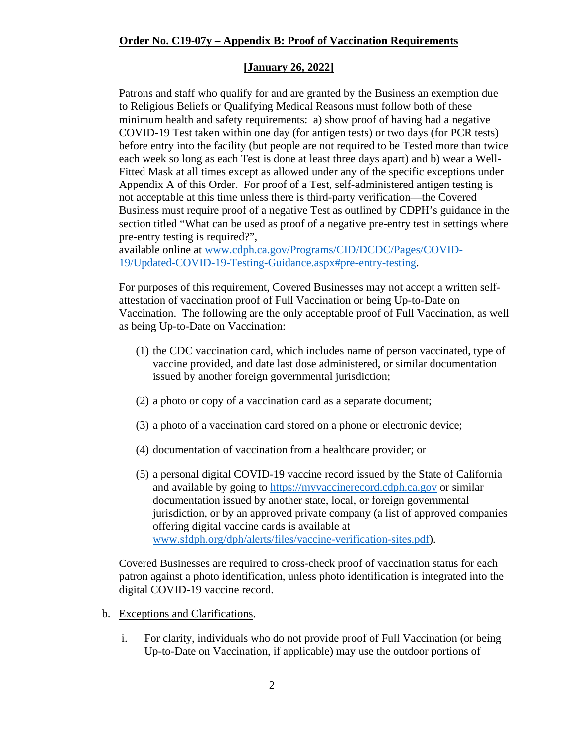#### **[January 26, 2022]**

Patrons and staff who qualify for and are granted by the Business an exemption due to Religious Beliefs or Qualifying Medical Reasons must follow both of these minimum health and safety requirements: a) show proof of having had a negative COVID-19 Test taken within one day (for antigen tests) or two days (for PCR tests) before entry into the facility (but people are not required to be Tested more than twice each week so long as each Test is done at least three days apart) and b) wear a Well-Fitted Mask at all times except as allowed under any of the specific exceptions under Appendix A of this Order. For proof of a Test, self-administered antigen testing is not acceptable at this time unless there is third-party verification—the Covered Business must require proof of a negative Test as outlined by CDPH's guidance in the section titled "What can be used as proof of a negative pre-entry test in settings where pre-entry testing is required?",

available online at [www.cdph.ca.gov/Programs/CID/DCDC/Pages/COVID-](https://www.cdph.ca.gov/Programs/CID/DCDC/Pages/COVID-19/Updated-COVID-19-Testing-Guidance.aspx#pre-entry-testing)[19/Updated-COVID-19-Testing-Guidance.aspx#pre-entry-testing.](https://www.cdph.ca.gov/Programs/CID/DCDC/Pages/COVID-19/Updated-COVID-19-Testing-Guidance.aspx#pre-entry-testing)

For purposes of this requirement, Covered Businesses may not accept a written selfattestation of vaccination proof of Full Vaccination or being Up-to-Date on Vaccination. The following are the only acceptable proof of Full Vaccination, as well as being Up-to-Date on Vaccination:

- (1) the CDC vaccination card, which includes name of person vaccinated, type of vaccine provided, and date last dose administered, or similar documentation issued by another foreign governmental jurisdiction;
- (2) a photo or copy of a vaccination card as a separate document;
- (3) a photo of a vaccination card stored on a phone or electronic device;
- (4) documentation of vaccination from a healthcare provider; or
- (5) a personal digital COVID-19 vaccine record issued by the State of California and available by going to [https://myvaccinerecord.cdph.ca.gov](https://myvaccinerecord.cdph.ca.gov/) or similar documentation issued by another state, local, or foreign governmental jurisdiction, or by an approved private company (a list of approved companies offering digital vaccine cards is available at [www.sfdph.org/dph/alerts/files/vaccine-verification-sites.pdf\)](http://www.sfdph.org/dph/alerts/files/vaccine-verification-sites.pdf).

Covered Businesses are required to cross-check proof of vaccination status for each patron against a photo identification, unless photo identification is integrated into the digital COVID-19 vaccine record.

- b. Exceptions and Clarifications.
	- i. For clarity, individuals who do not provide proof of Full Vaccination (or being Up-to-Date on Vaccination, if applicable) may use the outdoor portions of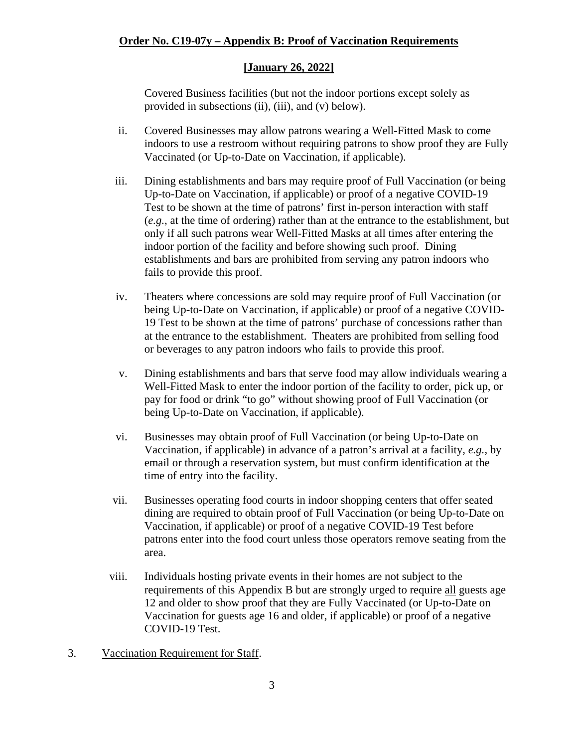#### **[January 26, 2022]**

Covered Business facilities (but not the indoor portions except solely as provided in subsections (ii), (iii), and (v) below).

- ii. Covered Businesses may allow patrons wearing a Well-Fitted Mask to come indoors to use a restroom without requiring patrons to show proof they are Fully Vaccinated (or Up-to-Date on Vaccination, if applicable).
- iii. Dining establishments and bars may require proof of Full Vaccination (or being Up-to-Date on Vaccination, if applicable) or proof of a negative COVID-19 Test to be shown at the time of patrons' first in-person interaction with staff (*e.g.*, at the time of ordering) rather than at the entrance to the establishment, but only if all such patrons wear Well-Fitted Masks at all times after entering the indoor portion of the facility and before showing such proof. Dining establishments and bars are prohibited from serving any patron indoors who fails to provide this proof.
- iv. Theaters where concessions are sold may require proof of Full Vaccination (or being Up-to-Date on Vaccination, if applicable) or proof of a negative COVID-19 Test to be shown at the time of patrons' purchase of concessions rather than at the entrance to the establishment. Theaters are prohibited from selling food or beverages to any patron indoors who fails to provide this proof.
- v. Dining establishments and bars that serve food may allow individuals wearing a Well-Fitted Mask to enter the indoor portion of the facility to order, pick up, or pay for food or drink "to go" without showing proof of Full Vaccination (or being Up-to-Date on Vaccination, if applicable).
- vi. Businesses may obtain proof of Full Vaccination (or being Up-to-Date on Vaccination, if applicable) in advance of a patron's arrival at a facility, *e.g.*, by email or through a reservation system, but must confirm identification at the time of entry into the facility.
- vii. Businesses operating food courts in indoor shopping centers that offer seated dining are required to obtain proof of Full Vaccination (or being Up-to-Date on Vaccination, if applicable) or proof of a negative COVID-19 Test before patrons enter into the food court unless those operators remove seating from the area.
- viii. Individuals hosting private events in their homes are not subject to the requirements of this Appendix B but are strongly urged to require all guests age 12 and older to show proof that they are Fully Vaccinated (or Up-to-Date on Vaccination for guests age 16 and older, if applicable) or proof of a negative COVID-19 Test.
- 3. Vaccination Requirement for Staff.